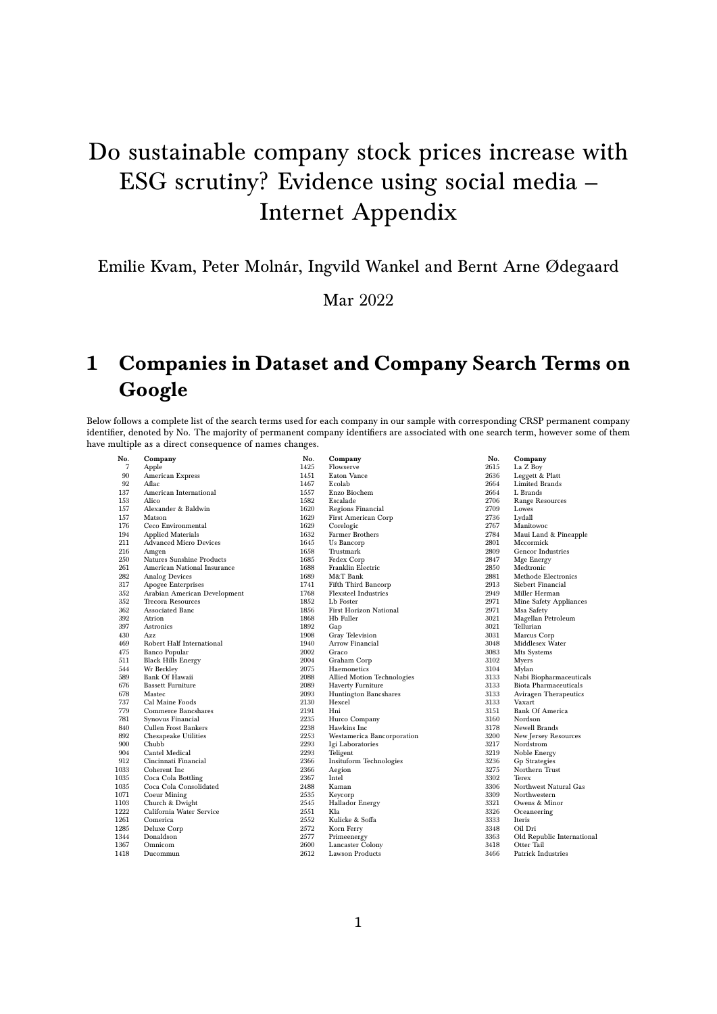## Do sustainable company stock prices increase with ESG scrutiny? Evidence using social media – Internet Appendix

## Emilie Kvam, Peter Molnár, Ingvild Wankel and Bernt Arne Ødegaard

Mar 2022

## 1 Companies in Dataset and Company Search Terms on Google

Below follows a complete list of the search terms used for each company in our sample with corresponding CRSP permanent company identifier, denoted by No. The majority of permanent company identifiers are associated with one search term, however some of them have multiple as a direct consequence of names changes.

| No.  | Company                       | No.  | Company                       |
|------|-------------------------------|------|-------------------------------|
| 7    | Apple                         | 1425 | Flowserve                     |
| 90   | American Express              | 1451 | Eaton Vance                   |
| 92   | Aflac                         | 1467 | Ecolab                        |
| 137  | American International        | 1557 | Enzo Biochem                  |
| 153  | Alico                         | 1582 | Escalade                      |
| 157  | Alexander & Baldwin           | 1620 | Regions Financial             |
| 157  | Matson                        | 1629 | First American Corp           |
| 176  | Ceco Environmental            | 1629 | Corelogic                     |
| 194  | <b>Applied Materials</b>      | 1632 | Farmer Brothers               |
| 211  | <b>Advanced Micro Devices</b> | 1645 | Us Bancorp                    |
| 216  | Amgen                         | 1658 | Trustmark                     |
| 250  | Natures Sunshine Products     | 1685 | Fedex Corp                    |
| 261  | American National Insurance   | 1688 | Franklin Electric             |
| 282  | <b>Analog Devices</b>         | 1689 | M&T Bank                      |
| 317  | Apogee Enterprises            | 1741 | Fifth Third Bancorp           |
| 352  | Arabian American Development  | 1768 | <b>Flexsteel Industries</b>   |
| 352  | <b>Trecora Resources</b>      | 1852 | Lb Foster                     |
| 362  | Associated Banc               | 1856 | <b>First Horizon National</b> |
| 392  | Atrion                        | 1868 | Hb Fuller                     |
| 397  | Astronics                     | 1892 | Gap                           |
| 430  | Azz                           | 1908 | Gray Television               |
| 469  | Robert Half International     | 1940 | <b>Arrow Financial</b>        |
| 475  | <b>Banco Popular</b>          | 2002 | Graco                         |
| 511  | <b>Black Hills Energy</b>     | 2004 | Graham Corp                   |
| 544  | Wr Berkley                    | 2075 | Haemonetics                   |
| 589  | <b>Bank Of Hawaii</b>         | 2088 | Allied Motion Technologies    |
| 676  | <b>Bassett Furniture</b>      | 2089 | Haverty Furniture             |
| 678  | Mastec                        | 2093 | <b>Huntington Bancshares</b>  |
| 737  | Cal Maine Foods               | 2130 | Hexcel                        |
| 779  | Commerce Bancshares           | 2191 | Hni                           |
| 781  | Synovus Financial             | 2235 | Hurco Company                 |
| 840  | Cullen Frost Bankers          | 2238 | Hawkins Inc                   |
| 892  | Chesapeake Utilities          | 2253 | Westamerica Bancorporation    |
| 900  | Chubb                         | 2293 | Igi Laboratories              |
| 904  | <b>Cantel Medical</b>         | 2293 | Teligent                      |
| 912  | Cincinnati Financial          | 2366 | Insituform Technologies       |
| 1033 | Coherent Inc                  | 2366 | Aegion                        |
| 1035 | Coca Cola Bottling            | 2367 | Intel                         |
| 1035 | Coca Cola Consolidated        | 2488 | Kaman                         |
| 1071 | <b>Coeur Mining</b>           | 2535 | Keycorp                       |
| 1103 | Church & Dwight               | 2545 | <b>Hallador Energy</b>        |
| 1222 | California Water Service      | 2551 | Kla                           |
| 1261 | Comerica                      | 2552 | Kulicke & Soffa               |
| 1285 | Deluxe Corp                   | 2572 | Korn Ferry                    |
| 1344 | Donaldson                     | 2577 | Primeenergy                   |
| 1367 | Omnicom                       | 2600 | Lancaster Colony              |
| 1418 | Ducommun                      | 2612 | <b>Lawson Products</b>        |
|      |                               |      |                               |

| No.  | Company                      |
|------|------------------------------|
| 2615 | La Z Boy                     |
| 2636 | Leggett & Platt              |
| 2664 | <b>Limited Brands</b>        |
| 2664 | L Brands                     |
| 2706 | <b>Range Resources</b>       |
| 2709 | Lowes                        |
| 2736 | Lydall                       |
| 2767 | Manitowoc                    |
| 2784 | Maui Land & Pineapple        |
| 2801 | Mccormick                    |
| 2809 | <b>Gencor Industries</b>     |
| 2847 | Mge Energy                   |
| 2850 | Medtronic                    |
| 2881 | <b>Methode Electronics</b>   |
| 2913 | <b>Siebert Financial</b>     |
| 2949 | Miller Herman                |
| 2971 | Mine Safety Appliances       |
| 2971 | Msa Safety                   |
| 3021 | Magellan Petroleum           |
| 3021 | Tellurian                    |
| 3031 | Marcus Corp                  |
| 3048 | Middlesex Water              |
| 3083 | Mts Systems                  |
| 3102 | Myers                        |
| 3104 | Mylan                        |
| 3133 | Nabi Biopharmaceuticals      |
| 3133 | <b>Biota Pharmaceuticals</b> |
| 3133 | <b>Aviragen Therapeutics</b> |
| 3133 | Vaxart                       |
| 3151 | <b>Bank Of America</b>       |
| 3160 | Nordson                      |
| 3178 | Newell Brands                |
| 3200 | New Jersey Resources         |
| 3217 | Nordstrom                    |
| 3219 | Noble Energy                 |
| 3236 | <b>Gp Strategies</b>         |
| 3275 | Northern Trust               |
| 3302 | Terex                        |
| 3306 | Northwest Natural Gas        |
| 3309 | Northwestern                 |
| 3321 | Owens & Minor                |
| 3326 | Oceaneering                  |
| 3333 | Iteris                       |
| 3348 | Oil Dri                      |
| 3363 | Old Republic International   |
| 3418 | Otter Tail                   |
| 3466 | Patrick Industries           |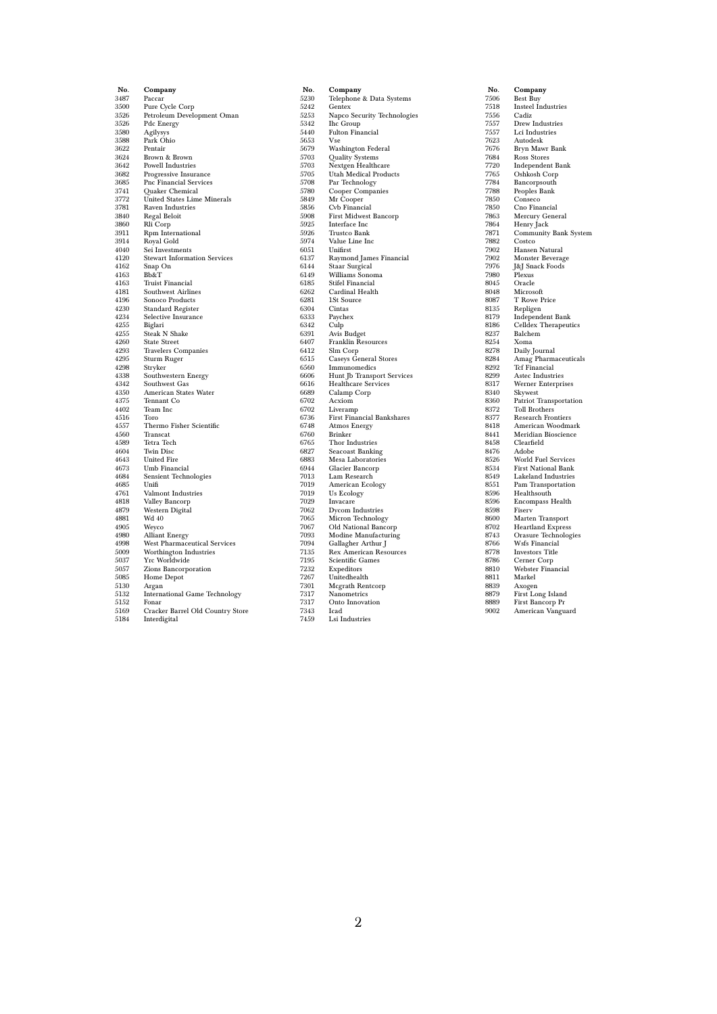| No.          | Company                                          |
|--------------|--------------------------------------------------|
| 3487         | Paccar                                           |
| 3500         | Pure Cycle Corp                                  |
| 3526         | Petroleum Development Oman                       |
| 3526         | Pdc Energy                                       |
| 3580         | Agilysys                                         |
| 3588         | Park Ohio                                        |
| 3622         | Pentair                                          |
| 3624         | Brown & Brown                                    |
| 3642         | <b>Powell Industries</b>                         |
| 3682         | Progressive Insurance                            |
| 3685         | Pnc Financial Services                           |
| 3741         | Quaker Chemical                                  |
| 3772         | <b>United States Lime Minerals</b>               |
| 3781<br>3840 | <b>Raven Industries</b><br><b>Regal Beloit</b>   |
| 3860         | Rli Corp                                         |
| 3911         | Rpm International                                |
| 3914         | Royal Gold                                       |
| 4040         | Sei Investments                                  |
| 4120         | <b>Stewart Information Services</b>              |
| 4162         | Snap On                                          |
| 4163         | Bb&T                                             |
| 4163         | <b>Truist Financial</b>                          |
| 4181         | <b>Southwest Airlines</b>                        |
| 4196         | Sonoco Products                                  |
| 4230         | <b>Standard Register</b>                         |
| 4234         | Selective Insurance                              |
| 4255         | Biglari                                          |
| 4255         | <b>Steak N Shake</b>                             |
| 4260         | <b>State Street</b>                              |
| 4293<br>4295 | <b>Travelers Companies</b>                       |
| 4298         | Sturm Ruger<br>Stryker                           |
| 4338         | Southwestern Energy                              |
| 4342         | Southwest Gas                                    |
| 4350         | American States Water                            |
| 4375         | Tennant Co                                       |
| 4402         | Team Inc                                         |
| 4516         | Toro                                             |
| 4557         | Thermo Fisher Scientific                         |
| 4560         | Transcat                                         |
| 4589         | Tetra Tech                                       |
| 4604         | <b>Twin Disc</b>                                 |
| 4643         | <b>United Fire</b>                               |
| 4673         | Umb Financial                                    |
| 4684         | <b>Sensient Technologies</b>                     |
| 4685<br>4761 | Unifi<br>Valmont Industries                      |
| 4818         | Valley Bancorp                                   |
| 4879         | Western Digital                                  |
| 4881         | Wd 40                                            |
| 4905         | Weyco                                            |
| 4980         | <b>Alliant Energy</b>                            |
| 4998         | West Pharmaceutical Services                     |
| 5009         | Worthington Industries                           |
| 5037         | Yrc Worldwide                                    |
| 5057         | Zions Bancorporation                             |
| 5085         | Home Depot                                       |
| 5130         | Argan                                            |
| 5132         | <b>International Game Technology</b>             |
| 5152         | Fonar                                            |
| 5169<br>5184 | Cracker Barrel Old Country Store<br>Interdigital |
|              |                                                  |

| No.  | Company                           |
|------|-----------------------------------|
| 5230 | Telephone & Data Systems          |
| 5242 | Gentex                            |
| 5253 | Napco Security Technologies       |
| 5342 | <b>Ihc Group</b>                  |
| 5440 | <b>Fulton Financial</b>           |
| 5653 | Vse                               |
| 5679 | <b>Washington Federal</b>         |
| 5703 | Quality Systems                   |
| 5703 | Nextgen Healthcare                |
| 5705 | <b>Utah Medical Products</b>      |
| 5708 | Par Technology                    |
| 5780 | Cooper Companies                  |
| 5849 | Mr Cooper                         |
| 5856 | Cvb Financial                     |
| 5908 | First Midwest Bancorp             |
| 5925 | Interface Inc                     |
| 5926 | Trustco Bank                      |
| 5974 | Value Line Inc                    |
| 6051 | Unifirst                          |
| 6137 | Raymond James Financial           |
| 6144 | Staar Surgical                    |
| 6149 | Williams Sonoma                   |
| 6185 | <b>Stifel Financial</b>           |
| 6262 | Cardinal Health                   |
| 6281 | 1St Source                        |
| 6304 | Cintas                            |
| 6333 | Paychex                           |
| 6342 | Culp                              |
| 6391 | Avis Budget                       |
| 6407 | Franklin Resources                |
| 6412 | Slm Corp                          |
| 6515 | <b>Caseys General Stores</b>      |
| 6560 | Immunomedics                      |
| 6606 | Hunt Jb Transport Services        |
| 6616 | <b>Healthcare Services</b>        |
| 6689 | Calamp Corp                       |
| 6702 | Acxiom                            |
| 6702 | Liveramp                          |
| 6736 | <b>First Financial Bankshares</b> |
| 6748 | Atmos Energy                      |
| 6760 | <b>Brinker</b>                    |
| 6765 | Thor Industries                   |
| 6827 | <b>Seacoast Banking</b>           |
| 6883 | Mesa Laboratories                 |
| 6944 | Glacier Bancorp                   |
| 7013 | Lam Research                      |
| 7019 | American Ecology                  |
| 7019 | Us Ecology                        |
| 7029 | Invacare                          |
| 7062 | Dycom Industries                  |
| 7065 | Micron Technology                 |
| 7067 | Old National Bancorp              |
| 7093 | Modine Manufacturing              |
| 7094 | Gallagher Arthur J                |
| 7135 | <b>Rex American Resources</b>     |
| 7195 | Scientific Games                  |
| 7232 | Expeditors                        |
| 7267 | Unitedhealth                      |
| 7301 | <b>Mcgrath Rentcorp</b>           |
| 7317 | Nanometrics                       |
| 7317 | Onto Innovation                   |
| 7343 | Icad                              |
| 7459 | Lsi Industries                    |

No. Company 7506 Best Buy 7518 Insteel Industries **No. Comp**<br>7506 Best B<br>7518 Insteel<br>7556 Cadiz<br>7557 Drew I<br>7623 Autodo 7557 Drew Industries 7557 Lci Industries 7623 Autodesk 7676 Bryn Mawr Bank 7684 Ross Stores 7720 Independent Bank 7765 Oshkosh Corp 7784 Bancorpsouth 7788 Peoples Bank 7850 Conseco 7850 Cno Financial<br>7863 Mercury Gener<br>7864 Henry Jack Mercury General 7864 Henry Jack 7871 Community Bank System<br>7882 Costco<br>7902 Hansen Natural 7882 Costco 7902 Hansen Natural 7902 Monster Beverage 7976 J&J Snack Foods 7980 Plexus 8045 Oracle<br>8048 Microso 8048 Microsoft<br>8087 T Rowe P 8087 T Rowe Price 8135 Repligen 8179 Independent Bank 8186 Celldex Therapeutics 8237 Balchem<br>8278 Daily Journal<br>8284 Amag Pharmaceuticals<br>8292 Tcf Financial<br>8299 Astec Industries<br>8317 Werner Enterprises<br>8340 Patriot Trasportation<br>8360 Patriot Transportation<br>8372 Toll Brothers<br>8377 Research Frontiers 8418 American Woodmark<br>8441 Meridian Bioscience<br>8458 Clearfield 8441 Meridian Bioscience 8458 Clearfield 8476 Adobe 8526 World Fuel Services 8534 First National Bank 8549 Lakeland Industries 8551 Pam Transportation 8596 Healthsouth 8596 Encompass Health 8598 Fiserv 8600 Marten Transport 8702 Heartland Express 8743 Orasure Technologies 8766 Wsfs Financial 8778 Investors Title 8786 Cerner Corp 8810 Webster Financial 8811 Markel 8839 Axogen 8879 First Long Island 8889 First Bancorp Pr 9002 American Vanguard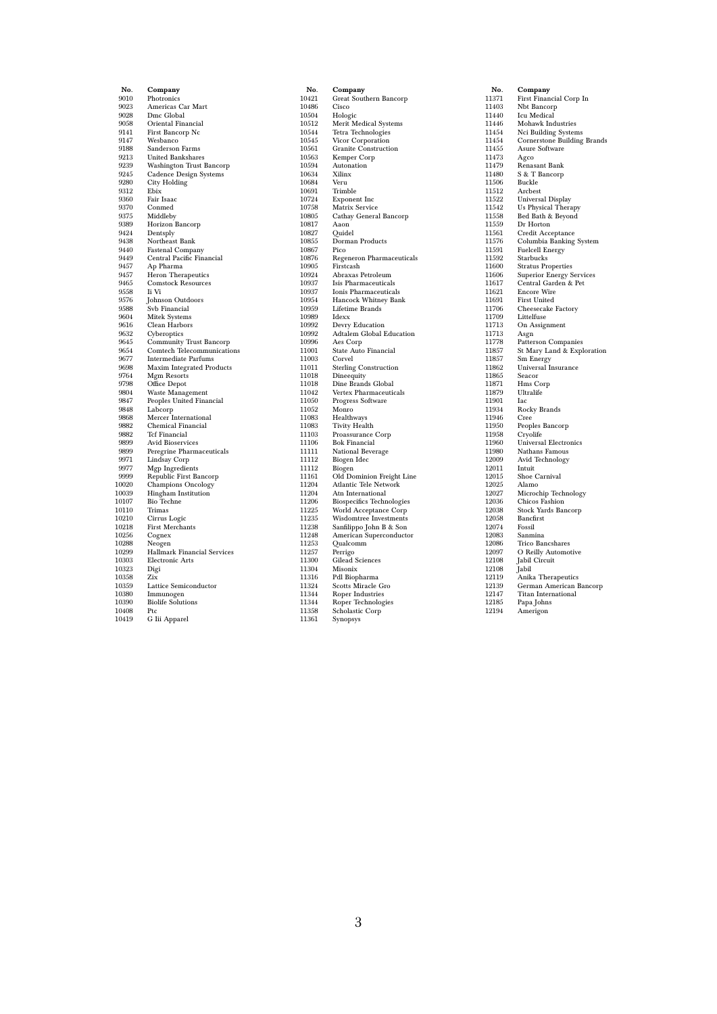| No.            |                                          |
|----------------|------------------------------------------|
| 9010           | Company<br>Photronics                    |
| 9023           | Americas Car Mart                        |
| 9028           | Dmc Global                               |
| 9058           | Oriental Financial                       |
| 9141           | First Bancorp Nc                         |
| 9147           | Wesbanco                                 |
| 9188           | Sanderson Farms                          |
| 9213           | <b>United Bankshares</b>                 |
| 9239           | Washington Trust Bancorp                 |
| 9245           | Cadence Design Systems                   |
| 9280           | City Holding                             |
| 9312           | Ebix                                     |
| 9360           | Fair Isaac                               |
| 9370           | Conmed                                   |
| 9375           | Middleby                                 |
| 9389           | Horizon Bancorp                          |
| 9424           | Dentsply                                 |
| 9438           | Northeast Bank                           |
| 9440           | Fastenal Company                         |
| 9449           | Central Pacific Financial                |
| 9457           | Ap Pharma                                |
| 9457           | <b>Heron Therapeutics</b>                |
| 9465           | <b>Comstock Resources</b>                |
| 9558           | Ii Vi                                    |
| 9576           | Johnson Outdoors                         |
| 9588<br>9604   | Svb Financial                            |
| 9616           | Mitek Systems<br>Clean Harbors           |
| 9632           | Cyberoptics                              |
| 9645           | <b>Community Trust Bancorp</b>           |
| 9654           | Comtech Telecommunications               |
| 9677           | <b>Intermediate Parfums</b>              |
| 9698           | <b>Maxim Integrated Products</b>         |
| 9764           | Mgm Resorts                              |
| 9798           | Office Depot                             |
| 9804           | Waste Management                         |
| 9847           | Peoples United Financial                 |
| 9848           | Labcorp                                  |
| 9868           | Mercer International                     |
| 9882           | Chemical Financial                       |
| 9882           | <b>Tcf Financial</b>                     |
| 9899           | Avid Bioservices                         |
| 9899           | Peregrine Pharmaceuticals                |
| 9971           | Lindsay Corp                             |
| 9977           | Mgp Ingredients                          |
| 9999           | Republic First Bancorp                   |
| 10020          | <b>Champions Oncology</b>                |
| $_{10039}$     | Hingham Institution<br><b>Bio Techne</b> |
| 10107<br>10110 | Trimas                                   |
| 10210          |                                          |
| 10218          | Cirrus Logic<br><b>First Merchants</b>   |
| 10256          | Cognex                                   |
| 10288          | Neogen                                   |
| 10299          | <b>Hallmark Financial Services</b>       |
| 10303          | <b>Electronic Arts</b>                   |
| 10323          | Digi                                     |
| $_{10358}$     | Zix                                      |
| 10359          | Lattice Semiconductor                    |
| 10380          | Immunogen                                |
| 10390          | <b>Biolife Solutions</b>                 |
| 10408          | Ptc                                      |
| 10419          | G Iii Apparel                            |
|                |                                          |

| No.            | Company                                                   |
|----------------|-----------------------------------------------------------|
| 10421          | Great Southern Bancorp                                    |
| 10486          | Cisco                                                     |
| 10504          | Hologic                                                   |
| 10512          | Merit Medical Systems                                     |
| 10544          | Tetra Technologies                                        |
| 10545          | Vicor Corporation                                         |
| 10561          | <b>Granite Construction</b>                               |
| 10563          | Kemper Corp                                               |
| 10594          | Autonation                                                |
| 10634          | Xilinx                                                    |
| 10684          | Veru                                                      |
| 10691          | Trimble                                                   |
| 10724          | Exponent Inc                                              |
| 10758          | Matrix Service                                            |
| 10805          | Cathay General Bancorp                                    |
| 10817          | Aaon                                                      |
| 10827          | Quidel                                                    |
| 10855          | Dorman Products                                           |
| 10867          | Pico                                                      |
| 10876          | Regeneron Pharmaceuticals                                 |
| 10905          | Firstcash                                                 |
| 10924          | Abraxas Petroleum                                         |
| 10937          | <b>Isis Pharmaceuticals</b>                               |
| 10937          | Ionis Pharmaceuticals                                     |
| 10954          | Hancock Whitney Bank                                      |
| 10959          | Lifetime Brands                                           |
| 10989          | Idexx                                                     |
| 10992          | Devry Education                                           |
| 10992          | Adtalem Global Education                                  |
| 10996          | Aes Corp                                                  |
| 11001          | State Auto Financial                                      |
| 11003          | Corvel                                                    |
| 11011          | <b>Sterling Construction</b>                              |
| 11018          | Dineequity                                                |
| 11018          | Dine Brands Global                                        |
| 11042          | Vertex Pharmaceuticals                                    |
| 11050          | Progress Software                                         |
| 11052          | Monro                                                     |
| 11083          | Healthways                                                |
| 11083          | Tivity Health                                             |
| 11103          | Proassurance Corp                                         |
| 11106          | <b>Bok Financial</b>                                      |
| 11111          | National Beverage                                         |
| 11112          | Biogen Idec                                               |
| 11112          | Biogen                                                    |
| 11161          | Old Dominion Freight Line                                 |
| 11204          | Atlantic Tele Network                                     |
| 11204          | Atn International                                         |
| 11206<br>11225 | <b>Biospecifics Technologies</b><br>World Acceptance Corp |
| 11235          | Wisdomtree Investments                                    |
| 11238          |                                                           |
| 11248          | Sanfilippo John B & Son<br>American Superconductor        |
| 11253          | Qualcomm                                                  |
| 11257          | Perrigo                                                   |
| 11300          | <b>Gilead Sciences</b>                                    |
| 11304          | Misonix                                                   |
| 11316          | Pdl Biopharma                                             |
| 11324          | Scotts Miracle Gro                                        |
| 11344          | <b>Roper Industries</b>                                   |
| 11344          | Roper Technologies                                        |
| 11358          | Scholastic Corp                                           |
| 11361          | Synopsys                                                  |
|                |                                                           |

| No.            | Company                                                      |
|----------------|--------------------------------------------------------------|
| 11371          | First Financial Corp In                                      |
| 11403          | Nbt Bancorp                                                  |
| 11440          | Icu Medical                                                  |
| 11446          | Mohawk Industries                                            |
| 11454          | Nci Building Systems                                         |
| 11454          |                                                              |
| 11455          | Cornerstone Building Brands<br>Asure Software                |
| 11473          | Agco                                                         |
| 11479          |                                                              |
| 11480          | Renasant Bank<br>S & T Bancorp                               |
| 11506          | Buckle                                                       |
| 11512          | Arcbest                                                      |
| 11522          | Universal Display                                            |
| 11542          | <b>Us Physical Therapy</b>                                   |
| 11558          | Bed Bath & Beyond                                            |
| 11559          | Dr Horton                                                    |
| 11561          |                                                              |
| 11576          | Credit Acceptance<br>Columbia Banking System                 |
| 11591          | <b>Fuelcell Energy</b>                                       |
| 11592          | Starbucks                                                    |
| 11600          |                                                              |
| 11606          | <b>Stratus Properties</b><br><b>Superior Energy Services</b> |
| 11617          |                                                              |
|                | Central Garden & Pet<br><b>Encore Wire</b>                   |
| 11621<br>11691 | <b>First United</b>                                          |
| 11706          |                                                              |
| 11709          | Cheesecake Factory                                           |
|                | Littelfuse                                                   |
| 11713          | On Assignment                                                |
| 11713          | Asgn                                                         |
| 11778          | Patterson Companies                                          |
| 11857          | St Mary Land & Exploration                                   |
| 11857          | Sm Energy                                                    |
| 11862          | Universal Insurance                                          |
| 11865          | Seacor                                                       |
| 11871          | Hms Corp                                                     |
| 11879<br>11901 | Ultralife<br>Iac                                             |
|                |                                                              |
| 11934          | Rocky Brands                                                 |
| 11946          | Cree                                                         |
| 11950          | Peoples Bancorp                                              |
| 11958          | Cryolife                                                     |
| 11960          | <b>Universal Electronics</b>                                 |
| 11980          | Nathans Famous                                               |
| 12009          | Avid Technology                                              |
| 12011          | Intuit                                                       |
| 12015          | Shoe Carnival                                                |
| 12025          | Alamo                                                        |
| 12027          | Microchip Technology                                         |
| 12036          | Chicos Fashion                                               |
| 12038          | Stock Yards Bancorp                                          |
| 12058          | Bancfirst                                                    |
| 12074          | Fossil                                                       |
| 12083          | Sanmina                                                      |
| 12086          | Trico Bancshares                                             |
| 12097          | O Reilly Automotive                                          |
| 12108          | Jabil Circuit                                                |
| 12108          | Jabil                                                        |
| 12119          | Anika Therapeutics                                           |
| 12139          | German American Bancorp                                      |
| 12147          | <b>Titan International</b>                                   |
| 12185          | Papa Johns                                                   |
| 12194          | Amerigon                                                     |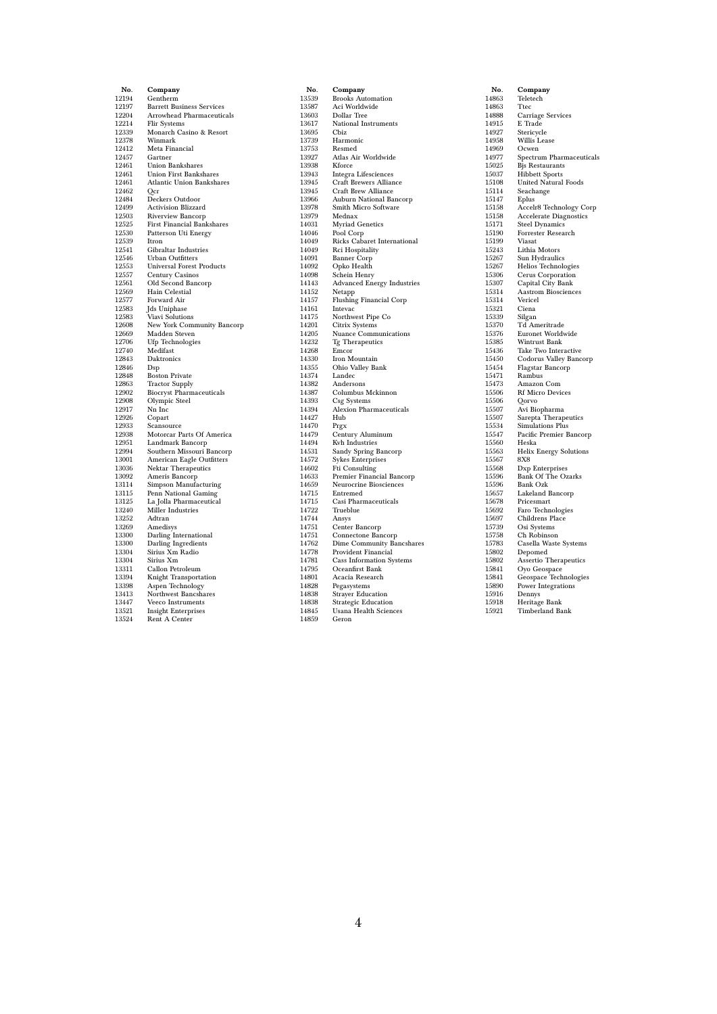| No.            | Company                                                |
|----------------|--------------------------------------------------------|
| 12194          | Gentherm                                               |
| 12197          | <b>Barrett Business Services</b>                       |
| 12204          | Arrowhead Pharmaceuticals                              |
| 12214          | <b>Flir Systems</b>                                    |
| 12339          | Monarch Casino & Resort                                |
| 12378          | Winmark                                                |
| 12412          | Meta Financial                                         |
| 12457          | Gartner                                                |
| 12461          | Union Bankshares                                       |
| 12461          | <b>Union First Bankshares</b>                          |
| 12461          | Atlantic Union Bankshares                              |
| 12462          | Ocr                                                    |
| 12484          | Deckers Outdoor                                        |
| 12499          | Activision Blizzard                                    |
| 12503          | Riverview Bancorp                                      |
| 12525          | First Financial Bankshares                             |
| 12530          | Patterson Uti Energy                                   |
| 12539<br>12541 | Itron                                                  |
| 12546          | Gibraltar Industries<br><b>Urban Outfitters</b>        |
| 12553          | <b>Universal Forest Products</b>                       |
| 12557          | Century Casinos                                        |
| 12561          | Old Second Bancorp                                     |
| 12569          | Hain Celestial                                         |
| 12577          | Forward Air                                            |
| 12583          | Jds Uniphase                                           |
| 12583          | Viavi Solutions                                        |
| 12608          | New York Community Bancorp                             |
| 12669          | Madden Steven                                          |
| 12706          | <b>Ufp Technologies</b>                                |
| 12740          | Medifast                                               |
| 12843          | Daktronics                                             |
| 12846          | Dsp                                                    |
| 12848          | <b>Boston Private</b>                                  |
| 12863          | <b>Tractor Supply</b>                                  |
| 12902          | <b>Biocryst Pharmaceuticals</b>                        |
| 12908          | Olympic Steel                                          |
| 12917          | Nn Inc                                                 |
| 12926          | Copart                                                 |
| 12933          | Scansource                                             |
| 12938          | Motorcar Parts Of America                              |
| 12951<br>12994 | Landmark Bancorp                                       |
| 13001          | Southern Missouri Bancorp<br>American Eagle Outfitters |
| 13036          | <b>Nektar Therapeutics</b>                             |
| 13092          | Ameris Bancorp                                         |
| 13114          | Simpson Manufacturing                                  |
| 13115          | Penn National Gaming                                   |
| 13125          | La Jolla Pharmaceutical                                |
| 13240          | Miller Industries                                      |
| 13252          | Adtran                                                 |
| 13269          | Amedisys                                               |
| 13300          | Darling International                                  |
| 13300          | Darling Ingredients                                    |
| 13304          | Sirius Xm Radio                                        |
| 13304          | Sirius Xm                                              |
| 13311          | Callon Petroleum                                       |
| 13394          | Knight Transportation                                  |
| 13398          | Aspen Technology                                       |
| 13413          | Northwest Bancshares                                   |
| 13447          | Veeco Instruments                                      |
| 13521          | <b>Insight Enterprises</b>                             |
| 13524          | Rent A Center                                          |

| No.            | Company                                |
|----------------|----------------------------------------|
| 13539          | <b>Brooks Automation</b>               |
| 13587          | Aci Worldwide                          |
| 13603          | Dollar Tree                            |
| 13617          | National Instruments                   |
| 13695          | Cbiz                                   |
| 13739          | Harmonic                               |
| 13753          | Resmed                                 |
| 13927          | Atlas Air Worldwide                    |
| 13938          | Kforce                                 |
| 13943          | Integra Lifesciences                   |
| 13945          | <b>Craft Brewers Alliance</b>          |
| 13945          | Craft Brew Alliance                    |
| 13966          | Auburn National Bancorp                |
| 13978          | Smith Micro Software                   |
| 13979          | Mednax                                 |
| 14031          | <b>Myriad Genetics</b>                 |
| 14046          | Pool Corp                              |
| 14049          | Ricks Cabaret International            |
| 14049          | Rci Hospitality                        |
| 14091          | <b>Banner Corp</b>                     |
| 14092          | Opko Health                            |
| 14098          | Schein Henry                           |
| 14143          | <b>Advanced Energy Industries</b>      |
| 14152          | Netapp                                 |
| 14157          | <b>Flushing Financial Corp</b>         |
| 14161          | Intevac                                |
| 14175          | Northwest Pipe Co                      |
| 14201          | Citrix Systems                         |
| 14205          | Nuance Communications                  |
| 14232          | Tg Therapeutics                        |
| 14268          | Emcor                                  |
| 14330          | Iron Mountain                          |
| 14355          | Ohio Valley Bank                       |
| 14374          | Landec                                 |
| 14382          | Andersons                              |
| 14387          | Columbus Mckinnon                      |
| 14393          | Csg Systems                            |
| 14394          | Alexion Pharmaceuticals                |
| 14427          | Hub                                    |
| 14470          | Prgx                                   |
| 14479          | Century Aluminum                       |
| 14494<br>14531 | Kvh Industries<br>Sandy Spring Bancorp |
| 14572          | <b>Sykes Enterprises</b>               |
| 14602          | Fti Consulting                         |
| 14633          | Premier Financial Bancorp              |
| 14659          | Neurocrine Biosciences                 |
| 14715          | Entremed                               |
| 14715          | Casi Pharmaceuticals                   |
| 14722          | Trueblue                               |
| 14744          | Ansys                                  |
| 14751          | Center Bancorp                         |
| 14751          | Connectone Bancorp                     |
| 14762          | Dime Community Bancshares              |
| 14778          | Provident Financial                    |
| 14781          | <b>Cass Information Systems</b>        |
| 14795          | Oceanfirst Bank                        |
| 14801          | Acacia Research                        |
| 14828          | Pegasystems                            |
| 14838          | <b>Strayer Education</b>               |
| 14838          | <b>Strategic Education</b>             |
| 14845          | Usana Health Sciences                  |
| 14859          | Geron                                  |

| No.            | Company                               |
|----------------|---------------------------------------|
| 14863          | Teletech                              |
| 14863          | Ttec                                  |
| 14888          | <b>Carriage Services</b>              |
| 14915          | E Trade                               |
| 14927          | Stericycle                            |
| 14958          | Willis Lease                          |
| 14969          | Ocwen                                 |
| 14977          | Spectrum Pharmaceuticals              |
| 15025          | <b>Bis Restaurants</b>                |
| 15037          | <b>Hibbett Sports</b>                 |
| 15108          | United Natural Foods                  |
| 15114          | Seachange                             |
| 15147          | Eplus                                 |
| 15158          | Accelr8 Technology Corp               |
| 15158          | <b>Accelerate Diagnostics</b>         |
| 15171          | <b>Steel Dynamics</b>                 |
| 15190          | Forrester Research                    |
| 15199          | Viasat                                |
| 15243          | Lithia Motors                         |
| 15267          | Sun Hydraulics                        |
| 15267          | Helios Technologies                   |
| 15306          | Cerus Corporation                     |
| 15307          | Capital City Bank                     |
| 15314          | <b>Aastrom Biosciences</b>            |
| 15314          | Vericel                               |
| 15321          | Ciena                                 |
| 15339          | Silgan                                |
| 15370          | Td Ameritrade                         |
| 15376          | Euronet Worldwide                     |
| 15385          | Wintrust Bank                         |
| 15436          | Take Two Interactive                  |
| 15450          | Codorus Valley Bancorp                |
| 15454          | Flagstar Bancorp                      |
| 15471          | Rambus                                |
| 15473          | Amazon Com                            |
| 15506          | <b>Rf Micro Devices</b>               |
| 15506          | Qorvo                                 |
| 15507          | Avi Biopharma                         |
| 15507          | Sarepta Therapeutics                  |
| 15534          | <b>Simulations Plus</b>               |
| 15547          | Pacific Premier Bancorp               |
| 15560          | Heska                                 |
| 15563          | <b>Helix Energy Solutions</b>         |
| 15567          | $_{\rm 8X8}$                          |
| 15568          | Dxp Enterprises                       |
| 15596          | <b>Bank Of The Ozarks</b>             |
| 15596          | Bank Ozk                              |
| 15657          | Lakeland Bancorp                      |
| 15678          | Pricesmart                            |
| 15692          | Faro Technologies                     |
| 15697          | Childrens Place                       |
| 15739          | Osi Systems                           |
| 15758<br>15783 | Ch Robinson                           |
| 15802          | Casella Waste Systems                 |
| 15802          | $_{\rm Depomed}$                      |
| 15841          | Assertio Therapeutics                 |
| 15841          | Oyo Geospace<br>Geospace Technologies |
| 15890          | Power Integrations                    |
| 15916          | Dennys                                |
| 15918          | Heritage Bank                         |
| 15921          | Timberland Bank                       |
|                |                                       |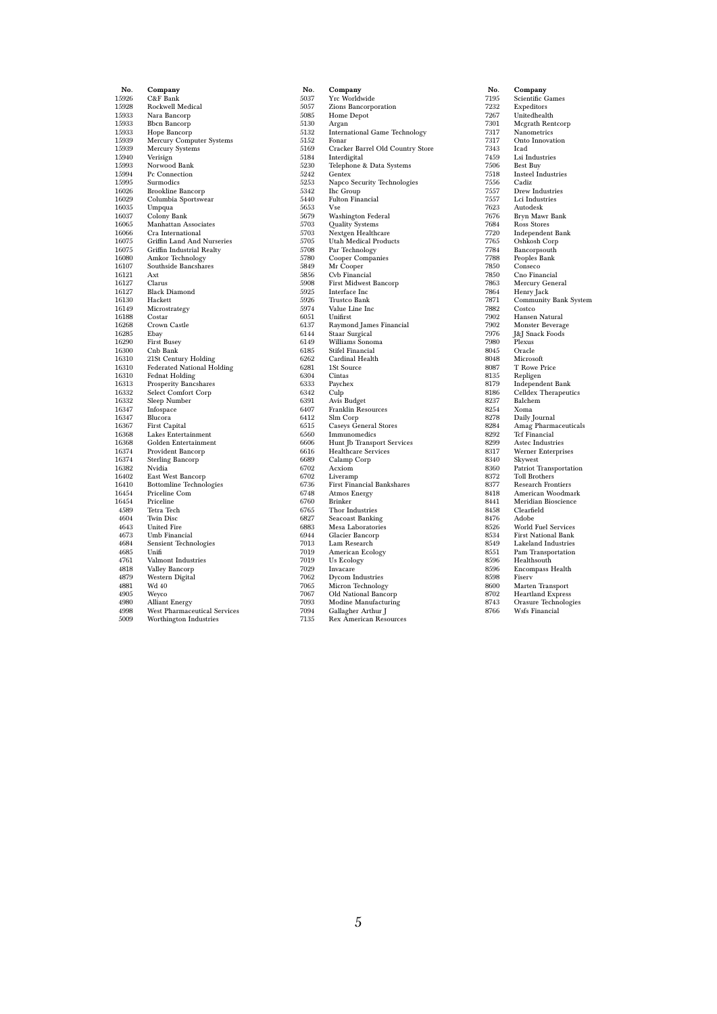| No.            | Company                                                |
|----------------|--------------------------------------------------------|
| 15926          | C&F Bank                                               |
| 15928          | Rockwell Medical                                       |
| 15933          | Nara Bancorp                                           |
| 15933          | <b>Bbcn Bancorp</b>                                    |
| 15933          | Hope Bancorp                                           |
| 15939          | Mercury Computer Systems                               |
| 15939          | <b>Mercury Systems</b>                                 |
| 15940          | Verisign                                               |
| 15993<br>15994 | Norwood Bank<br>Pc Connection                          |
| 15995          | Surmodics                                              |
| 16026          | <b>Brookline Bancorp</b>                               |
| 16029          | Columbia Sportswear                                    |
| 16035          | Umpqua                                                 |
| 16037          | Colony Bank                                            |
| 16065          | <b>Manhattan Associates</b>                            |
| 16066          | Cra International                                      |
| 16075          | Griffin Land And Nurseries                             |
| 16075          | Griffin Industrial Realty                              |
| 16080          | Amkor Technology                                       |
| 16107          | Southside Bancshares                                   |
| 16121          | Axt                                                    |
| 16127          | Clarus                                                 |
| 16127          | <b>Black Diamond</b>                                   |
| 16130          | Hackett                                                |
| 16149<br>16188 | Microstrategy<br>Costar                                |
| 16268          | Crown Castle                                           |
| 16285          | Ebay                                                   |
| 16290          | <b>First Busey</b>                                     |
| 16300          | Cnb Bank                                               |
| 16310          | 21St Century Holding                                   |
| 16310          | <b>Federated National Holding</b>                      |
| 16310          | <b>Fednat Holding</b>                                  |
| 16313          | Prosperity Bancshares                                  |
| 16332          | <b>Select Comfort Corp</b>                             |
| 16332          | Sleep Number                                           |
| 16347          | Infospace                                              |
| 16347          | Blucora                                                |
| 16367          | First Capital                                          |
| 16368          | Lakes Entertainment                                    |
| 16368          | Golden Entertainment                                   |
| 16374          | Provident Bancorp                                      |
| 16374          | <b>Sterling Bancorp</b><br>Nvidia                      |
| 16382<br>16402 | East West Bancorp                                      |
| 16410          | <b>Bottomline Technologies</b>                         |
| 16454          | Priceline Com                                          |
| 16454          | Priceline                                              |
| 4589           | Tetra Tech                                             |
| 4604           | <b>Twin Disc</b>                                       |
| 4643           | <b>United Fire</b>                                     |
| 4673           | Umb Financial                                          |
| 4684           | <b>Sensient Technologies</b>                           |
| 4685           | Unifi                                                  |
| 4761           | Valmont Industries                                     |
| 4818           | Valley Bancorp                                         |
| 4879           | Western Digital                                        |
| 4881           | Wd 40                                                  |
| 4905           | Weyco                                                  |
| 4980<br>4998   | Alliant Energy                                         |
| 5009           | West Pharmaceutical Services<br>Worthington Industries |
|                |                                                        |

| No.          | Company                              |
|--------------|--------------------------------------|
| 5037         | Yrc Worldwide                        |
| 5057         | Zions Bancorporation                 |
| 5085         | Home Depot                           |
| 5130         | Argan                                |
| 5132         | <b>International Game Technology</b> |
| 5152         | Fonar                                |
| 5169         | Cracker Barrel Old Country Store     |
| 5184         | Interdigital                         |
| 5230         | Telephone & Data Systems             |
| 5242         | Gentex                               |
| 5253         | Napco Security Technologies          |
| 5342         | <b>Ihc Group</b>                     |
| 5440         | <b>Fulton Financial</b>              |
| 5653         | Vse                                  |
| 5679         | Washington Federal                   |
| 5703         | Quality Systems                      |
| 5703         | Nextgen Healthcare                   |
| 5705         | <b>Utah Medical Products</b>         |
| 5708         | Par Technology                       |
| 5780         | Cooper Companies                     |
| 5849         | Mr Cooper                            |
| 5856         | Cvb Financial                        |
| 5908         | <b>First Midwest Bancorp</b>         |
| 5925<br>5926 | Interface Inc                        |
| 5974         | Trustco Bank<br>Value Line Inc       |
| 6051         | Unifirst                             |
| 6137         | Raymond James Financial              |
| 6144         | Staar Surgical                       |
| 6149         | Williams Sonoma                      |
| 6185         | <b>Stifel Financial</b>              |
| 6262         | Cardinal Health                      |
| 6281         | 1St Source                           |
| 6304         | Cintas                               |
| 6333         | Paychex                              |
| 6342         | Culp                                 |
| 6391         | Avis Budget                          |
| 6407         | Franklin Resources                   |
| 6412         | Slm Corp                             |
| 6515         | <b>Caseys General Stores</b>         |
| 6560         | Immunomedics                         |
| 6606         | Hunt Jb Transport Services           |
| 6616         | <b>Healthcare Services</b>           |
| 6689         | Calamp Corp                          |
| 6702         | Acxiom                               |
| 6702         | Liveramp                             |
| 6736         | First Financial Bankshares           |
| 6748         | Atmos Energy                         |
| 6760         | <b>Brinker</b>                       |
| 6765         | Thor Industries                      |
| 6827<br>6883 | Seacoast Banking                     |
| 6944         | Mesa Laboratories                    |
| 7013         | Glacier Bancorp<br>Lam Research      |
| 7019         | American Ecology                     |
| 7019         | <b>Us Ecology</b>                    |
| 7029         | Invacare                             |
| 7062         | Dycom Industries                     |
| 7065         | Micron Technology                    |
| 7067         | Old National Bancorp                 |
| 7093         | Modine Manufacturing                 |
| 7094         | Gallagher Arthur J                   |
| 7135         | <b>Rex American Resources</b>        |

| No.  | Company                                |
|------|----------------------------------------|
| 7195 | Scientific Games                       |
| 7232 | Expeditors                             |
| 7267 |                                        |
|      | Unitedhealth                           |
| 7301 | <b>Mcgrath Rentcorp</b>                |
| 7317 | Nanometrics                            |
| 7317 | Onto Innovation                        |
| 7343 | Icad                                   |
| 7459 | Lsi Industries                         |
| 7506 | <b>Best Buy</b>                        |
| 7518 | <b>Insteel Industries</b>              |
| 7556 | Cadiz                                  |
| 7557 | Drew Industries                        |
| 7557 | Lci Industries                         |
| 7623 | Autodesk                               |
| 7676 | Bryn Mawr Bank                         |
| 7684 | Ross Stores                            |
| 7720 | Independent Bank                       |
| 7765 | Oshkosh Corp                           |
| 7784 | Bancorpsouth                           |
| 7788 | Peoples Bank                           |
| 7850 | Conseco                                |
| 7850 | Cno Financial                          |
| 7863 | Mercury General                        |
| 7864 | Henry Jack                             |
| 7871 | Community Bank System                  |
| 7882 | Costco                                 |
| 7902 | Hansen Natural                         |
| 7902 | Monster Beverage                       |
| 7976 | J&J Snack Foods                        |
| 7980 | Plexus                                 |
| 8045 | Oracle                                 |
| 8048 | Microsoft                              |
| 8087 | T Rowe Price                           |
| 8135 | Repligen                               |
| 8179 | Independent Bank                       |
| 8186 | Celldex Therapeutics                   |
| 8237 | Balchem                                |
| 8254 | Xoma                                   |
| 8278 | Daily Journal                          |
| 8284 | $\widetilde{\rm Amag~Pharmacetticals}$ |
| 8292 | <b>Tcf Financial</b>                   |
| 8299 | Astec Industries                       |
| 8317 | Werner Enterprises                     |
| 8340 | Skywest                                |
| 8360 | Patriot Transportation                 |
| 8372 | Toll Brothers                          |
| 8377 | <b>Research Frontiers</b>              |
| 8418 | American Woodmark                      |
| 8441 | Meridian Bioscience                    |
| 8458 | Clearfield                             |
| 8476 | Adobe                                  |
| 8526 | <b>World Fuel Services</b>             |
| 8534 | <b>First National Bank</b>             |
| 8549 | Lakeland Industries                    |
|      |                                        |
| 8551 | Pam Transportation                     |
| 8596 | Healthsouth                            |
| 8596 | <b>Encompass Health</b>                |
| 8598 | Fiserv                                 |
| 8600 | Marten Transport                       |
| 8702 | <b>Heartland Express</b>               |
| 8743 | Orasure Technologies                   |
| 8766 | Wsfs Financial                         |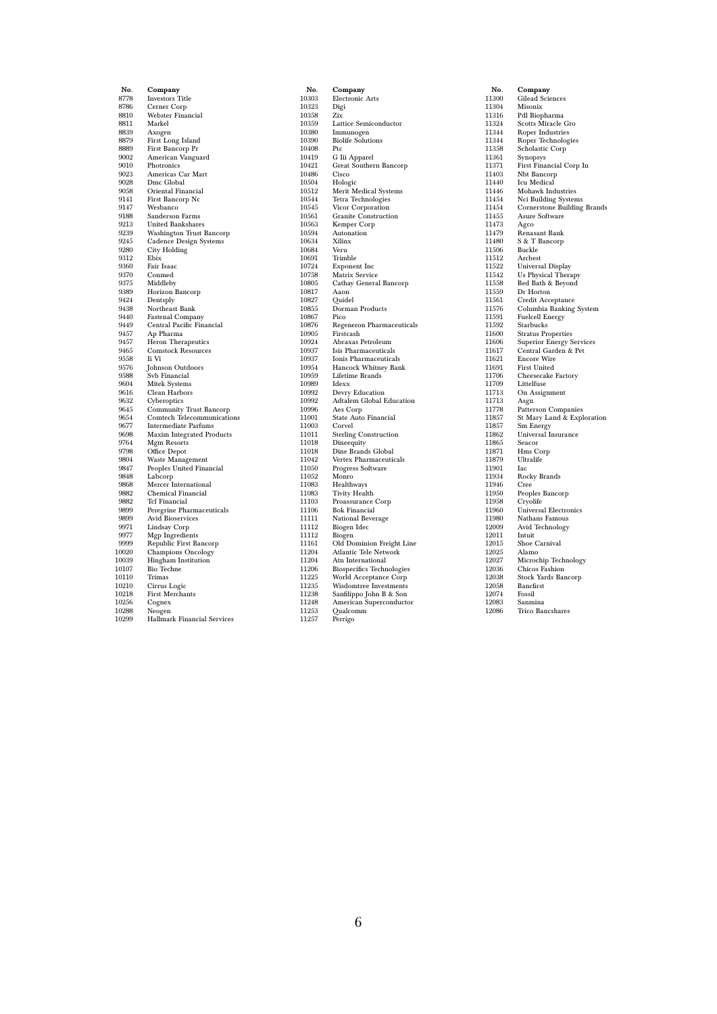| No.          | Company                                              |
|--------------|------------------------------------------------------|
| 8778         | <b>Investors Title</b>                               |
| 8786         | Cerner Corp                                          |
| 8810         | Webster Financial                                    |
| 8811         | Markel                                               |
| 8839         | Axogen                                               |
| 8879         | First Long Island                                    |
| 8889         | First Bancorp Pr                                     |
| 9002         | American Vanguard                                    |
| 9010         | Photronics                                           |
| 9023         | Americas Car Mart                                    |
| 9028         | Dmc Global                                           |
| 9058         | Oriental Financial                                   |
| 9141         | First Bancorp Nc                                     |
| 9147         | Wesbanco                                             |
| 9188         | Sanderson Farms                                      |
| 9213         | <b>United Bankshares</b>                             |
| 9239         | Washington Trust Bancorp                             |
| 9245         | Cadence Design Systems                               |
| 9280         | City Holding                                         |
| 9312         | Ebix                                                 |
| 9360         | Fair Isaac                                           |
| 9370         | Conmed                                               |
| 9375         | Middleby                                             |
| 9389         | Horizon Bancorp                                      |
| 9424         | Dentsply                                             |
| 9438<br>9440 | Northeast Bank                                       |
| 9449         | <b>Fastenal Company</b><br>Central Pacific Financial |
| 9457         |                                                      |
| 9457         | Ap Pharma<br>Heron Therapeutics                      |
| 9465         | <b>Comstock Resources</b>                            |
| 9558         | Ii Vi                                                |
| 9576         | Johnson Outdoors                                     |
| 9588         | Svb Financial                                        |
| 9604         | Mitek Systems                                        |
| 9616         | Clean Harbors                                        |
| 9632         | Cyberoptics                                          |
| 9645         | <b>Community Trust Bancorp</b>                       |
| 9654         | <b>Comtech Telecommunications</b>                    |
| 9677         | <b>Intermediate Parfums</b>                          |
| 9698         | Maxim Integrated Products                            |
| 9764         | Mgm Resorts                                          |
| 9798         | Office Depot                                         |
| 9804         | Waste Management                                     |
| 9847         | Peoples United Financial                             |
| 9848         | Labcorp                                              |
| 9868         | Mercer International                                 |
| 9882         | Chemical Financial                                   |
| 9882<br>9899 | <b>Tcf Financial</b><br>Peregrine Pharmaceuticals    |
| 9899         | <b>Avid Bioservices</b>                              |
| 9971         | Lindsay Corp                                         |
| 9977         | Mgp Ingredients                                      |
| 9999         | Republic First Bancorp                               |
| 10020        | <b>Champions Oncology</b>                            |
| $_{10039}$   | <b>Hingham Institution</b>                           |
| 10107        | <b>Bio Techne</b>                                    |
| 10110        | Trimas                                               |
| 10210        | Cirrus Logic                                         |
| 10218        | <b>First Merchants</b>                               |
| 10256        | Cognex                                               |
| 10288        | Neogen                                               |
| 10299        | <b>Hallmark Financial Services</b>                   |
|              |                                                      |

| No.            | Company                                           |
|----------------|---------------------------------------------------|
| 10303          | <b>Electronic Arts</b>                            |
| 10323          | Digi                                              |
| 10358          | Zix                                               |
| 10359          | Lattice Semiconductor                             |
| 10380          | Immunogen                                         |
| 10390          | <b>Biolife Solutions</b>                          |
| 10408          | Ptc                                               |
| 10419          | G Iii Apparel                                     |
| 10421          | Great Southern Bancorp                            |
| 10486          | Cisco                                             |
| 10504          | Hologic                                           |
| 10512          | Merit Medical Systems                             |
| 10544          | Tetra Technologies                                |
| 10545          | Vicor Corporation                                 |
| 10561          | Granite Construction                              |
| 10563          | Kemper Corp                                       |
| 10594          | Autonation                                        |
| 10634          | Xilinx                                            |
| 10684          | Veru                                              |
| 10691          | Trimble                                           |
| 10724          | Exponent Inc                                      |
| 10758          | Matrix Service                                    |
| 10805          | Cathay General Bancorp                            |
| 10817          | Aaon                                              |
| 10827          | Quidel                                            |
| 10855<br>10867 | Dorman Products<br>Pico                           |
| 10876          | Regeneron Pharmaceuticals                         |
| 10905          | Firstcash                                         |
| 10924          | Abraxas Petroleum                                 |
| 10937          | Isis Pharmaceuticals                              |
| 10937          | Ionis Pharmaceuticals                             |
| 10954          | Hancock Whitney Bank                              |
| 10959          | <b>Lifetime Brands</b>                            |
| 10989          | Idexx                                             |
| 10992          | Devry Education                                   |
| 10992          | Adtalem Global Education                          |
| 10996          | Aes Corp                                          |
| 11001          | State Auto Financial                              |
| 11003          | Corvel                                            |
| 11011          | <b>Sterling Construction</b>                      |
| 11018          | Dineequity                                        |
| 11018          | Dine Brands Global                                |
| 11042          | Vertex Pharmaceuticals                            |
| 11050          | Progress Software                                 |
| 11052          | Monro                                             |
| 11083          | Healthways                                        |
| 11083          | Tivity Health                                     |
| 11103          | Proassurance Corp                                 |
| 11106          | <b>Bok Financial</b>                              |
| 11111          | National Beverage                                 |
| 11112          | Biogen Idec                                       |
| 11112          | Biogen                                            |
| 11161          | Old Dominion Freight Line                         |
| 11204          | Atlantic Tele Network                             |
| 11204          | Atn International                                 |
| 11206          | <b>Biospecifics Technologies</b>                  |
| 11225<br>11235 | World Acceptance Corp                             |
| 11238          | Wisdomtree Investments<br>Sanfilippo John B & Son |
| 11248          | American Superconductor                           |
| 11253          | Qualcomm                                          |
| 11257          | Perrigo                                           |
|                |                                                   |

| No.            | Company                                           |
|----------------|---------------------------------------------------|
| 11300          | <b>Gilead Sciences</b>                            |
| 11304          | Misonix                                           |
| 11316          | Pdl Biopharma                                     |
| 11324          | Scotts Miracle Gro                                |
| 11344          | Roper Industries                                  |
| 11344          | Roper Technologies                                |
| 11358          | Scholastic Corp                                   |
| 11361          | Synopsys                                          |
| 11371          | First Financial Corp In                           |
| 11403          | Nbt Bancorp                                       |
| 11440          | Icu Medical                                       |
| 11446          | Mohawk Industries                                 |
| 11454          | Nci Building Systems                              |
| 11454          | Cornerstone Building Brands                       |
| 11455          | Asure Software                                    |
| 11473          | Agco                                              |
| 11479          | Renasant Bank                                     |
| 11480          | S & T Bancorp                                     |
| 11506          | Buckle                                            |
| 11512          | Arcbest                                           |
| 11522          | Universal Display                                 |
| 11542          | Us Physical Therapy                               |
| 11558          | Bed Bath & Beyond                                 |
| 11559          | Dr Horton                                         |
| 11561          | Credit Acceptance                                 |
| 11576          | Columbia Banking System                           |
| 11591          | <b>Fuelcell Energy</b>                            |
| 11592          | Starbucks                                         |
| 11600          | <b>Stratus Properties</b>                         |
| 11606          | Superior Energy Services                          |
| 11617          | Central Garden & Pet                              |
| 11621          | <b>Encore Wire</b>                                |
| 11691          | First United                                      |
| 11706          | Cheesecake Factory                                |
| 11709          | Littelfuse                                        |
| 11713          | On Assignment                                     |
| 11713<br>11778 | Asgn                                              |
|                | Patterson Companies<br>St Mary Land & Exploration |
| 11857<br>11857 | Sm Energy                                         |
| 11862          | Universal Insurance                               |
| 11865          | Seacor                                            |
| 11871          | Hms Corp                                          |
| 11879          | Ultralife                                         |
| 11901          | Iac                                               |
| 11934          | Rocky Brands                                      |
| 11946          | Cree                                              |
| 11950          | Peoples Bancorp                                   |
| 11958          | Cryolife                                          |
| 11960          | <b>Universal Electronics</b>                      |
| 11980          | Nathans Famous                                    |
| 12009          | Avid Technology                                   |
| 12011          | Intuit                                            |
| 12015          | Shoe Carnival                                     |
| 12025          | Alamo                                             |
| 12027          | Microchip Technology                              |
| 12036          | Chicos Fashion                                    |
| 12038          | Stock Yards Bancorp                               |
| 12058          | Bancfirst                                         |
| 12074          | Fossil                                            |
| 12083          | Sanmina                                           |
| 12086          | Trico Bancshares                                  |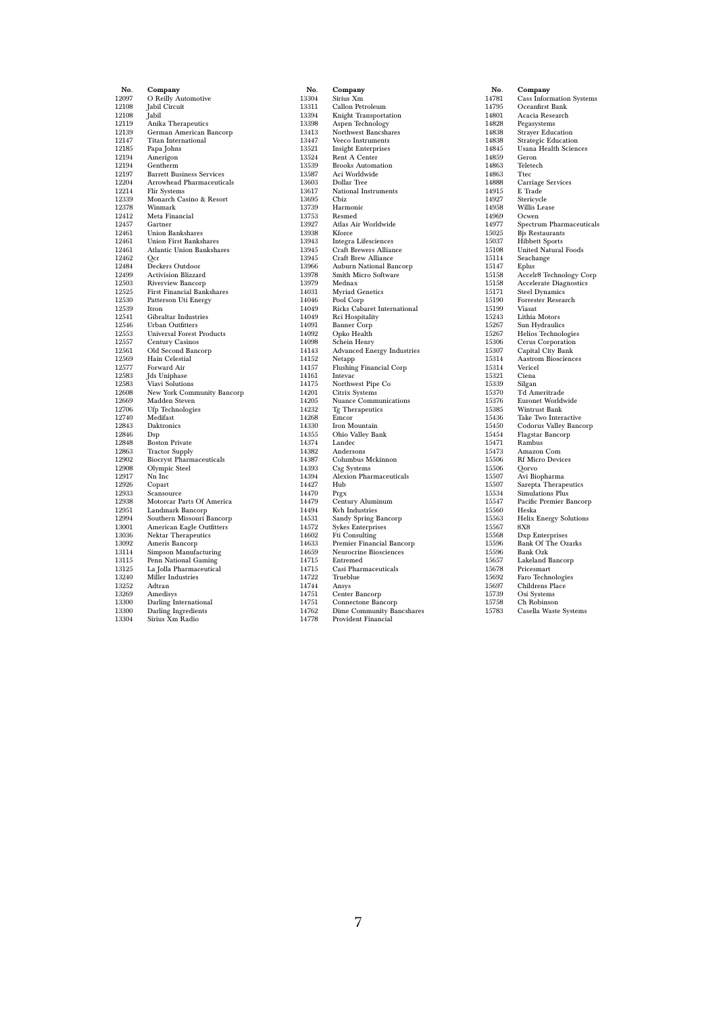| No.            | Company                                       |
|----------------|-----------------------------------------------|
| 12097          | O Reilly Automotive                           |
| 12108          | Jabil Circuit                                 |
| 12108          | Jabil                                         |
| 12119          | Anika Therapeutics                            |
| 12139          | German American Bancorp                       |
| 12147          | <b>Titan International</b>                    |
| 12185          | Papa Johns                                    |
| 12194          | Amerigon                                      |
| 12194          | Gentherm                                      |
| 12197          | <b>Barrett Business Services</b>              |
| 12204          | Arrowhead Pharmaceuticals                     |
| 12214          | Flir Systems                                  |
| 12339          | Monarch Casino & Resort                       |
| 12378          | Winmark<br>Meta Financial                     |
| 12412<br>12457 |                                               |
| 12461          | Gartner<br>Union Bankshares                   |
| 12461          | <b>Union First Bankshares</b>                 |
| 12461          | <b>Atlantic Union Bankshares</b>              |
| 12462          | Qcr                                           |
| 12484          | Deckers Outdoor                               |
| 12499          | <b>Activision Blizzard</b>                    |
| 12503          | Riverview Bancorp                             |
| 12525          | First Financial Bankshares                    |
| 12530          | Patterson Uti Energy                          |
| 12539          | Itron                                         |
| 12541          | Gibraltar Industries                          |
| 12546          | <b>Urban Outfitters</b>                       |
| 12553          | <b>Universal Forest Products</b>              |
| 12557          | Century Casinos                               |
| 12561          | Old Second Bancorp                            |
| 12569          | Hain Celestial                                |
| 12577          | Forward Air                                   |
| 12583<br>12583 | Jds Uniphase                                  |
| 12608          | Viavi Solutions<br>New York Community Bancorp |
| 12669          | Madden Steven                                 |
| 12706          | <b>Ufp Technologies</b>                       |
| 12740          | Medifast                                      |
| 12843          | Daktronics                                    |
| 12846          | Dsp                                           |
| 12848          | <b>Boston Private</b>                         |
| 12863          | <b>Tractor Supply</b>                         |
| 12902          | <b>Biocryst Pharmaceuticals</b>               |
| 12908          | Olympic Steel                                 |
| 12917          | Nn Inc                                        |
| 12926          | Copart                                        |
| 12933          | Scansource                                    |
| 12938          | Motorcar Parts Of America                     |
| 12951          | Landmark Bancorp                              |
| 12994<br>13001 | Southern Missouri Bancorp                     |
| 13036          | <b>American Eagle Outfitters</b>              |
| 13092          | Nektar Therapeutics<br>Ameris Bancorp         |
| 13114          | Simpson Manufacturing                         |
| 13115          | Penn National Gaming                          |
| 13125          | La Jolla Pharmaceutical                       |
| 13240          | Miller Industries                             |
| 13252          | Adtran                                        |
| 13269          | Amedisys                                      |
| 13300          | Darling International                         |
| 13300          | Darling Ingredients                           |
| 13304          | Sirius Xm Radio                               |
|                |                                               |

| No.            | Company                                          |
|----------------|--------------------------------------------------|
| 13304          | Sirius Xm                                        |
| 13311          | Callon Petroleum                                 |
| 13394          | Knight Transportation                            |
| 13398          | Aspen Technology                                 |
| 13413          | Northwest Bancshares                             |
| 13447          | Veeco Instruments                                |
| 13521<br>13524 | <b>Insight Enterprises</b>                       |
| 13539          | Rent A Center<br><b>Brooks Automation</b>        |
| 13587          | Aci Worldwide                                    |
| 13603          | Dollar Tree                                      |
| 13617          | National Instruments                             |
| 13695          | Cbiz                                             |
| 13739          | Harmonic                                         |
| 13753          | Resmed                                           |
| 13927          | Atlas Air Worldwide                              |
| 13938          | Kforce                                           |
| 13943          | Integra Lifesciences                             |
| 13945          | Craft Brewers Alliance                           |
| 13945          | Craft Brew Alliance                              |
| 13966          | <b>Auburn National Bancorp</b>                   |
| 13978          | Smith Micro Software                             |
| 13979          | Mednax                                           |
| 14031          | <b>Myriad Genetics</b>                           |
| 14046          | Pool Corp                                        |
| 14049          | Ricks Cabaret International                      |
| 14049          | Rci Hospitality                                  |
| 14091          | <b>Banner Corp</b>                               |
| 14092          | Opko Health                                      |
| 14098          | Schein Henry                                     |
| 14143<br>14152 | <b>Advanced Energy Industries</b><br>Netapp      |
| 14157          | <b>Flushing Financial Corp</b>                   |
| 14161          | Intevac                                          |
| 14175          | Northwest Pipe Co                                |
| 14201          | Citrix Systems                                   |
| 14205          | Nuance Communications                            |
| 14232          | Tg Therapeutics                                  |
| 14268          | Emcor                                            |
| 14330          | Iron Mountain                                    |
| 14355          | Ohio Valley Bank                                 |
| 14374          | Landec                                           |
| 14382          | Andersons                                        |
| 14387          | Columbus Mckinnon                                |
| 14393          | Csg Systems                                      |
| 14394          | Alexion Pharmaceuticals                          |
| 14427          | Hub                                              |
| 14470          | Prgx                                             |
| 14479          | Century Aluminum                                 |
| 14494          | Kvh Industries                                   |
| 14531          | Sandy Spring Bancorp<br><b>Sykes Enterprises</b> |
| 14572<br>14602 | Fti Consulting                                   |
| 14633          | Premier Financial Bancorp                        |
| 14659          | Neurocrine Biosciences                           |
| 14715          | Entremed                                         |
| 14715          | Casi Pharmaceuticals                             |
| 14722          | Trueblue                                         |
| 14744          | Ansys                                            |
| 14751          | Center Bancorp                                   |
| 14751          | Connectone Bancorp                               |
| 14762          | <b>Dime Community Bancshares</b>                 |
| 14778          | Provident Financial                              |

| No.            | Company                                        |
|----------------|------------------------------------------------|
| 14781          | <b>Cass Information Systems</b>                |
| 14795          | Oceanfirst Bank                                |
| 14801          | Acacia Research                                |
| 14828          | Pegasystems                                    |
| 14838          | <b>Strayer Education</b>                       |
| 14838          | <b>Strategic Education</b>                     |
| 14845          | <b>Usana Health Sciences</b>                   |
| 14859          | Geron                                          |
| 14863          | Teletech                                       |
| 14863          | Ttec                                           |
| 14888          | Carriage Services                              |
| 14915          | E Trade                                        |
| 14927          | Stericycle                                     |
| 14958          | Willis Lease                                   |
| 14969          | Ocwen                                          |
| 14977          | Spectrum Pharmaceuticals                       |
| 15025          | Bjs Restaurants                                |
| 15037          | <b>Hibbett Sports</b>                          |
| 15108          | <b>United Natural Foods</b>                    |
| 15114          | Seachange                                      |
| 15147          | Eplus                                          |
| 15158          | Accelr8 Technology Corp                        |
| 15158          | <b>Accelerate Diagnostics</b>                  |
| 15171          | <b>Steel Dynamics</b>                          |
| 15190          | Forrester Research                             |
| 15199          | Viasat                                         |
| 15243          | Lithia Motors                                  |
| 15267          | Sun Hydraulics                                 |
| 15267          | <b>Helios Technologies</b>                     |
| 15306          | Cerus Corporation                              |
| 15307          | Capital City Bank                              |
| 15314          | <b>Aastrom Biosciences</b>                     |
| 15314          | Vericel                                        |
| 15321          | Ciena                                          |
| 15339          | Silgan                                         |
| 15370          | Td Ameritrade<br>Euronet Worldwide             |
| 15376<br>15385 | Wintrust Bank                                  |
| 15436          |                                                |
| 15450          | Take Two Interactive<br>Codorus Valley Bancorp |
| 15454          | Flagstar Bancorp                               |
| 15471          | Rambus                                         |
| 15473          | Amazon Com                                     |
| 15506          | <b>Rf Micro Devices</b>                        |
| 15506          | Qorvo                                          |
| 15507          | Avi Biopharma                                  |
| 15507          | Sarepta Therapeutics                           |
| 15534          | <b>Simulations Plus</b>                        |
| 15547          | Pacific Premier Bancorp                        |
| 15560          | Heska                                          |
| 15563          | Helix Energy Solutions                         |
| 15567          | $_{\rm 8X8}$                                   |
| 15568          | Dxp Enterprises                                |
| 15596          | <b>Bank Of The Ozarks</b>                      |
| 15596          | <b>Bank Ozk</b>                                |
| 15657          | Lakeland Bancorp                               |
| 15678          | Pricesmart                                     |
| 15692          | Faro Technologies                              |
| 15697          | Childrens Place                                |
| 15739          | Osi Systems                                    |
| 15758          | Ch Robinson                                    |
| 15783          | Casella Waste Systems                          |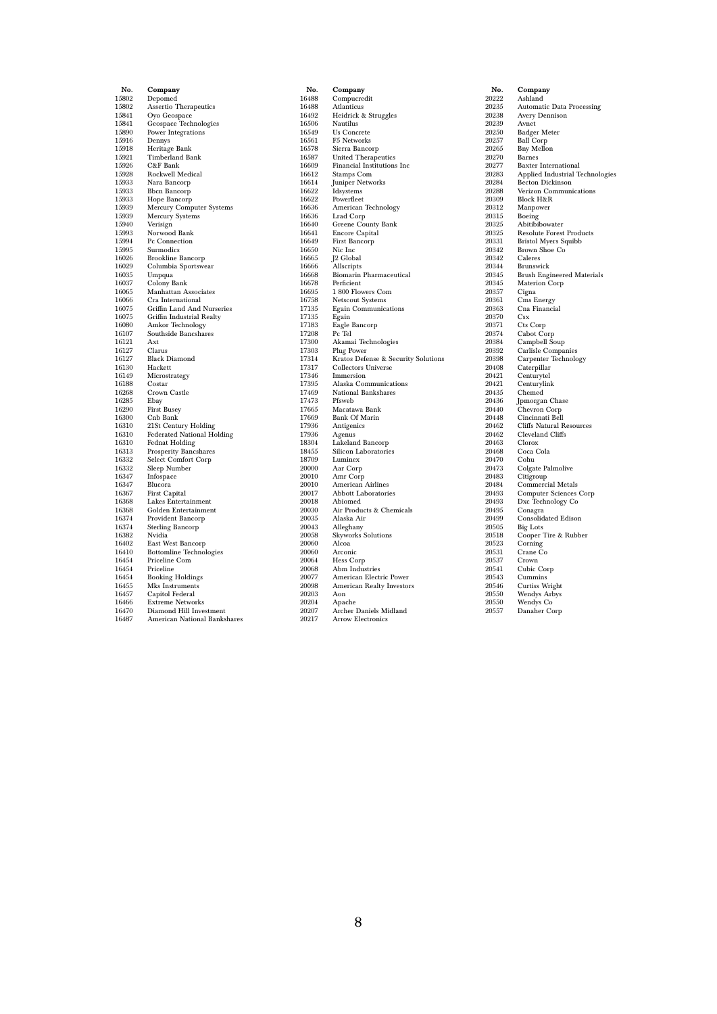| No.            | Company                                            |
|----------------|----------------------------------------------------|
| 15802          | Depomed                                            |
| 15802          | Assertio Therapeutics                              |
| 15841          | Oyo Geospace                                       |
| 15841          | Geospace Technologies                              |
| 15890          | Power Integrations                                 |
| 15916          | Dennys                                             |
| 15918          | Heritage Bank                                      |
| 15921          | <b>Timberland Bank</b>                             |
| 15926          | C&F Bank                                           |
| 15928          | Rockwell Medical                                   |
| 15933          | Nara Bancorp                                       |
| 15933          | <b>Bbcn Bancorp</b>                                |
| 15933          | Hope Bancorp                                       |
| 15939<br>15939 | Mercury Computer Systems<br><b>Mercury Systems</b> |
| 15940          | Verisign                                           |
| 15993          | Norwood Bank                                       |
| 15994          | Pc Connection                                      |
| 15995          | Surmodics                                          |
| 16026          | <b>Brookline Bancorp</b>                           |
| 16029          | Columbia Sportswear                                |
| 16035          | Umpqua                                             |
| 16037          | Colony Bank                                        |
| 16065          | <b>Manhattan Associates</b>                        |
| 16066          | Cra International                                  |
| 16075          | Griffin Land And Nurseries                         |
| 16075          | Griffin Industrial Realty                          |
| 16080          | Amkor Technology                                   |
| 16107          | Southside Bancshares                               |
| 16121          | Axt                                                |
| 16127          | Clarus                                             |
| 16127          | <b>Black Diamond</b>                               |
| 16130<br>16149 | Hackett                                            |
| 16188          | Microstrategy<br>Costar                            |
| 16268          | Crown Castle                                       |
| 16285          | Ebay                                               |
| 16290          | <b>First Busey</b>                                 |
| 16300          | Cnb Bank                                           |
| 16310          | 21St Century Holding                               |
| 16310          | <b>Federated National Holding</b>                  |
| 16310          | <b>Fednat Holding</b>                              |
| 16313          | <b>Prosperity Bancshares</b>                       |
| 16332          | Select Comfort Corp                                |
| 16332          | Sleep Number                                       |
| 16347          | Infospace                                          |
| 16347          | Blucora                                            |
| 16367          | First Capital                                      |
| 16368          | Lakes Entertainment                                |
| 16368<br>16374 | Golden Entertainment                               |
| 16374          | Provident Bancorp<br><b>Sterling Bancorp</b>       |
| 16382          | Nvidia                                             |
| 16402          | East West Bancorp                                  |
| 16410          | <b>Bottomline Technologies</b>                     |
| 16454          | Priceline Com                                      |
| 16454          | Priceline                                          |
| 16454          | <b>Booking Holdings</b>                            |
| 16455          | Mks Instruments                                    |
| 16457          | Capitol Federal                                    |
| 16466          | <b>Extreme Networks</b>                            |
| 16470          | Diamond Hill Investment                            |
| 16487          | American National Bankshares                       |

| No.            | Company                                                    |
|----------------|------------------------------------------------------------|
| 16488          | Compucredit                                                |
| 16488          | Atlanticus                                                 |
| 16492          | Heidrick & Struggles                                       |
| 16506          | Nautilus                                                   |
| 16549          | <b>Us Concrete</b>                                         |
| 16561          | F5 Networks                                                |
| 16578          | Sierra Bancorp                                             |
| 16587          | United Therapeutics                                        |
| 16609          | Financial Institutions Inc                                 |
| 16612          | Stamps Com                                                 |
| 16614          | Juniper Networks                                           |
| 16622          | Idsystems                                                  |
| 16622          | Powerfleet                                                 |
| 16636          | American Technology                                        |
| 16636          | Lrad Corp                                                  |
| 16640          | Greene County Bank                                         |
| 16641          | <b>Encore Capital</b>                                      |
| 16649          | First Bancorp                                              |
| 16650          | Nic Inc                                                    |
| 16665          | J2 Global                                                  |
| 16666          | Allscripts                                                 |
| 16668          | <b>Biomarin Pharmaceutical</b>                             |
| 16678          | Perficient                                                 |
| 16695          | 1 800 Flowers Com                                          |
| 16758          | <b>Netscout Systems</b>                                    |
| 17135          | <b>Egain Communications</b>                                |
| 17135          | Egain                                                      |
| 17183          | Eagle Bancorp                                              |
| 17208          | Pc Tel                                                     |
| 17300          | Akamai Technologies                                        |
| 17303<br>17314 | Plug Power                                                 |
| 17317          | Kratos Defense & Security Solutions<br>Collectors Universe |
| 17346          | Immersion                                                  |
| 17395          | Alaska Communications                                      |
| 17469          | National Bankshares                                        |
| 17473          | Pfsweb                                                     |
| 17665          | Macatawa Bank                                              |
| 17669          | <b>Bank Of Marin</b>                                       |
| 17936          | Antigenics                                                 |
| 17936          | Agenus                                                     |
| 18304          | Lakeland Bancorp                                           |
| 18455          | Silicon Laboratories                                       |
| 18709          | Luminex                                                    |
| 20000          | Aar Corp                                                   |
| 20010          | Amr Corp                                                   |
| 20010          | <b>American Airlines</b>                                   |
| 20017          | <b>Abbott Laboratories</b>                                 |
| 20018          | Abiomed                                                    |
| 20030          | Air Products & Chemicals                                   |
| 20035          | Alaska Air                                                 |
| 20043          | Alleghany                                                  |
| 20058          | <b>Skyworks Solutions</b>                                  |
| 20060          | Alcoa                                                      |
| 20060          | Arconic                                                    |
| 20064          | Hess Corp                                                  |
| 20068          | Abm Industries                                             |
| 20077          | American Electric Power                                    |
| 20098          | American Realty Investors                                  |
| 20203          | Aon                                                        |
| 20204          | Apache                                                     |
| 20207          | Archer Daniels Midland                                     |
| 20217          | <b>Arrow Electronics</b>                                   |

No. Company 20222 Ashland 20235 Automatic Data Processing 20238 Avery Dennison 20239 Avnet 20250 Badger Meter 20257 Ball Corp 20265 Bny Mellon 20270 Barnes 20277 Baxter International 20283 Applied Industrial Technologies 20284 Becton Dickinson 20288 Verizon Communications 20309 Block H&R 20312 Manpower 20315 Boeing 20325 Abitibibowater 20325 Resolute Forest Products 20331 Bristol Myers Squibb 20342 Brown Shoe Co 20342 Caleres 20344 Brunswick 20345 Brush Engineered Materials 20345 Materion Corp<br>20357 Cigna 20357 Cigna 20361 Cms Energy 20363 Cna Financial 20370<br>20371 20371 Cts Corp 20374 Cabot Corp 20384 Campbell Soup 20392 Carlisle Companies 20398 Carpenter Technology 20408 Caterpillar 20421 Centurytel 20421 Centurylink 20435 Chemed 20436 Jpmorgan Chase 20440 Chevron Corp 20448 Cincinnati Bell 20462 Cliffs Natural Resources 20462 Cleveland Cliffs<br>20463 Clorox 20468 Coca Cola 20470 Cohu 20473 Colgate Palmolive 20483 Citigroup 20484 Commercial Metals 20493 Computer Sciences Corp 20493 Dxc Technology Co 20495 Conagra 20499 Consolidated Edison 20505 Big Lots 20518 Cooper Tire & Rubber 20523 Corning 20531 Crane Co 20537 Crown 20541 Cubic Corp 20543 Cummins 20546 Curtiss Wright 20550 Wendys Arbys 20550 Wendys Co 20557 Danaher Corp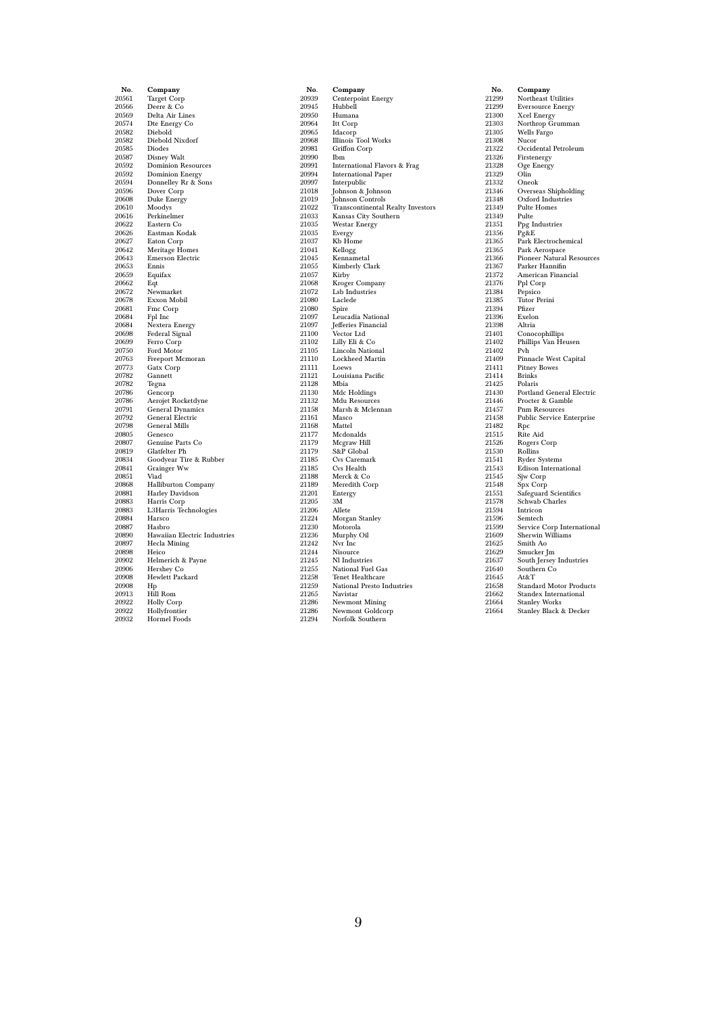| No.            | Company                                 |
|----------------|-----------------------------------------|
| 20561          | <b>Target Corp</b>                      |
| 20566          | Deere & Co                              |
| 20569          | Delta Air Lines                         |
| 20574          | Dte Energy Co                           |
| 20582          | Diebold                                 |
| 20582          | Diebold Nixdorf                         |
| 20585          | Diodes                                  |
| 20587          | <b>Disney Walt</b>                      |
| 20592          | <b>Dominion Resources</b>               |
| 20592          | <b>Dominion Energy</b>                  |
| 20594          | Donnelley Rr & Sons                     |
| 20596<br>20608 | Dover Corp                              |
| 20610          | Duke Energy                             |
| 20616          | Moodys<br>Perkinelmer                   |
| 20622          | Eastern Co                              |
| 20626          | Eastman Kodak                           |
| 20627          | Eaton Corp                              |
| 20642          | <b>Meritage Homes</b>                   |
| 20643          | <b>Emerson Electric</b>                 |
| 20653          | Ennis                                   |
| 20659          | Equifax                                 |
| 20662          | Eqt                                     |
| 20672          | Newmarket                               |
| 20678          | Exxon Mobil                             |
| 20681          | Fmc Corp                                |
| 20684          | Fpl Inc                                 |
| 20684          | Nextera Energy                          |
| 20698<br>20699 | Federal Signal<br>Ferro Corp            |
| 20750          | Ford Motor                              |
| 20763          | Freeport Mcmoran                        |
| 20773          | Gatx Corp                               |
| 20782          | Gannett                                 |
| 20782          | Tegna                                   |
| 20786          | Gencorp                                 |
| 20786          | Aerojet Rocketdyne                      |
| 20791          | General Dynamics                        |
| 20792          | General Electric                        |
| 20798          | <b>General Mills</b>                    |
| 20805          | Genesco                                 |
| 20807          | Genuine Parts Co                        |
| 20819<br>20834 | Glatfelter Ph<br>Goodyear Tire & Rubber |
| 20841          | Grainger Ww                             |
| 20851          | Viad                                    |
| 20868          | <b>Halliburton Company</b>              |
| 20881          | Harley Davidson                         |
| 20883          | Harris Corp                             |
| 20883          | L3Harris Technologies                   |
| 20884          | Harsco                                  |
| 20887          | Hasbro                                  |
| 20890          | Hawaiian Electric Industries            |
| 20897          | Hecla Mining                            |
| 20898          | Heico                                   |
| 20902<br>20906 | Helmerich & Payne                       |
| 20908          | Hershey Co<br>Hewlett Packard           |
| 20908          | Hp                                      |
| 20913          | Hill Rom                                |
| 20922          | <b>Holly Corp</b>                       |
| 20922          | Hollyfrontier                           |
| 20932          | <b>Hormel Foods</b>                     |
|                |                                         |

| No.            | Company                                  |
|----------------|------------------------------------------|
| 20939          | Centerpoint Energy                       |
| 20945          | Hubbell                                  |
| 20950          | Humana                                   |
| 20964          | Itt Corp                                 |
| 20965          | Idacorp                                  |
| 20968          | <b>Illinois Tool Works</b>               |
| 20981          | Griffon Corp                             |
| 20990          | Ibm                                      |
| 20991          | International Flavors & Frag             |
| 20994          | <b>International Paper</b>               |
| 20997          | Interpublic                              |
| 21018<br>21019 | Johnson & Johnson<br>Johnson Controls    |
| 21022          | <b>Transcontinental Realty Investors</b> |
| 21033          | Kansas City Southern                     |
| 21035          | <b>Westar Energy</b>                     |
| 21035          | Evergy                                   |
| 21037          | Kb Home                                  |
| 21041          | Kellogg                                  |
| 21045          | Kennametal                               |
| 21055          | Kimberly Clark                           |
| 21057          | Kirby                                    |
| 21068          | Kroger Company                           |
| 21072          | Lsb Industries                           |
| 21080          | Laclede                                  |
| 21080          | Spire                                    |
| 21097          | Leucadia National                        |
| 21097          | Jefferies Financial                      |
| 21100          | Vector Ltd                               |
| 21102          | Lilly Eli & Co                           |
| 21105          | <b>Lincoln National</b>                  |
| 21110          | <b>Lockheed Martin</b>                   |
| 21111          | Loews                                    |
| 21121<br>21128 | Louisiana Pacific                        |
| 21130          | Mbia<br>Mdc Holdings                     |
| 21132          | Mdu Resources                            |
| 21158          | Marsh & Mclennan                         |
| 21161          | Masco                                    |
| 21168          | Mattel                                   |
| 21177          | Mcdonalds                                |
| 21179          | Mcgraw Hill                              |
| 21179          | S&P Global                               |
| 21185          | Cvs Caremark                             |
| 21185          | Cvs Health                               |
| 21188          | Merck & Co                               |
| 21189          | Meredith Corp                            |
| 21201          | Entergy                                  |
| 21205          | 3M                                       |
| 21206          | Allete                                   |
| 21224          | Morgan Stanley                           |
| 21230          | Motorola                                 |
| 21236<br>21242 | Murphy Oil<br>Nvr Inc                    |
| 21244          | Nisource                                 |
| 21245          | Nl Industries                            |
| 21255          | National Fuel Gas                        |
| 21258          | <b>Tenet Healthcare</b>                  |
| 21259          | National Presto Industries               |
| 21265          | Navistar                                 |
| 21286          | <b>Newmont Mining</b>                    |
| 21286          | Newmont Goldcorp                         |
| 21294          | Norfolk Southern                         |
|                |                                          |

| No.   | Company                          |
|-------|----------------------------------|
| 21299 | Northeast Utilities              |
| 21299 | <b>Eversource Energy</b>         |
| 21300 | Xcel Energy                      |
| 21303 | Northrop Grumman                 |
| 21305 | Wells Fargo                      |
| 21308 | Nucor                            |
| 21322 | Occidental Petroleum             |
| 21326 | Firstenergy                      |
| 21328 | Oge Energy                       |
| 21329 | Olin                             |
| 21332 | Oneok                            |
| 21346 | Overseas Shipholding             |
| 21348 | Oxford Industries                |
| 21349 | <b>Pulte Homes</b>               |
| 21349 | Pulte                            |
| 21351 | Ppg Industries                   |
| 21356 | Pg&E                             |
| 21365 | Park Electrochemical             |
| 21365 | Park Aerospace                   |
| 21366 | Pioneer Natural Resources        |
| 21367 | Parker Hannifin                  |
| 21372 | American Financial               |
| 21376 | Ppl Corp                         |
| 21384 | Pepsico                          |
| 21385 | <b>Tutor Perini</b>              |
| 21394 | Pfizer                           |
| 21396 | Exelon                           |
| 21398 | Altria                           |
| 21401 | Conocophillips                   |
| 21402 | Phillips Van Heusen              |
| 21402 | Pvh                              |
| 21409 | Pinnacle West Capital            |
| 21411 | <b>Pitney Bowes</b>              |
| 21414 | <b>Brinks</b>                    |
| 21425 | Polaris                          |
| 21430 | <b>Portland General Electric</b> |
| 21446 | Procter & Gamble                 |
| 21457 | <b>Pnm Resources</b>             |
| 21458 | Public Service Enterprise        |
| 21482 | Rpc                              |
| 21515 | Rite Aid                         |
| 21526 | Rogers Corp                      |
| 21530 | Rollins                          |
| 21541 | Ryder Systems                    |
| 21543 | <b>Edison International</b>      |
| 21545 | Sjw Corp                         |
| 21548 | Spx Corp                         |
| 21551 | Safeguard Scientifics            |
| 21578 | Schwab Charles                   |
| 21594 | Intricon                         |
| 21596 | Semtech                          |
| 21599 | Service Corp International       |
| 21609 | Sherwin Williams                 |
| 21625 | Smith Ao                         |
| 21629 | Smucker Jm                       |
| 21637 | South Jersey Industries          |
| 21640 | Southern Co                      |
| 21645 | At&T                             |
| 21658 | <b>Standard Motor Products</b>   |
| 21662 | Standex International            |
| 21664 | <b>Stanley Works</b>             |
| 21664 | Stanley Black & Decker           |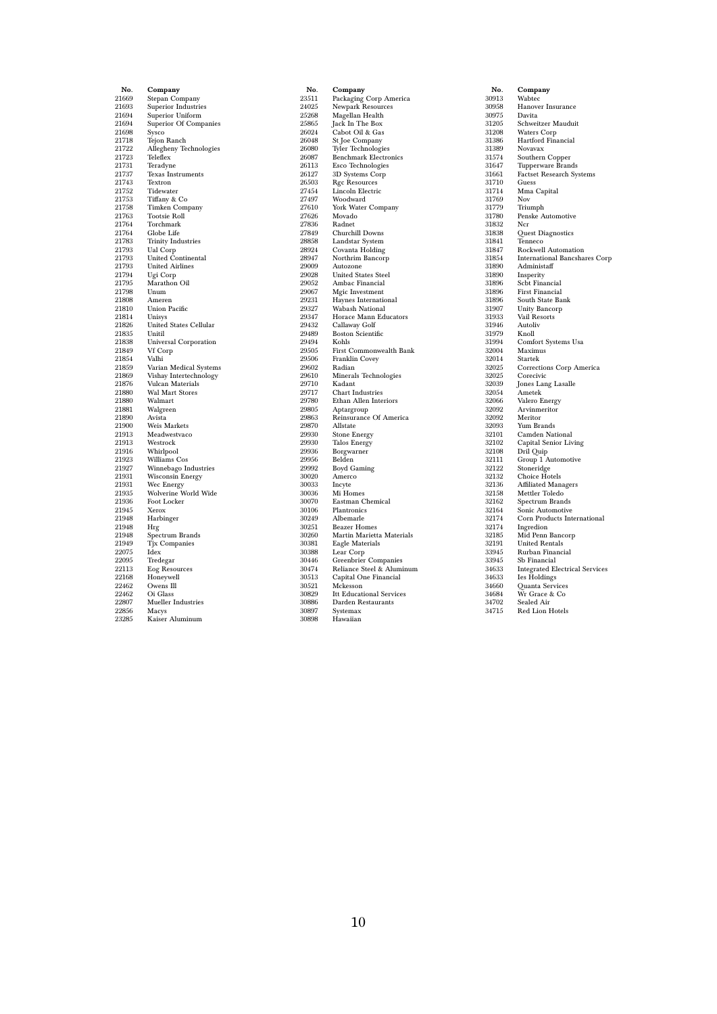| No.            | Company                            |
|----------------|------------------------------------|
| 21669          | Stepan Company                     |
| 21693          | Superior Industries                |
| 21694          | Superior Uniform                   |
| 21694          | Superior Of Companies              |
| 21698          | Sysco                              |
| 21718          | Tejon Ranch                        |
| 21722          | Allegheny Technologies             |
| 21723          | Teleflex                           |
| 21731          | Teradyne                           |
| 21737<br>21743 | Texas Instruments<br>Textron       |
| 21752          | Tidewater                          |
| 21753          | Tiffany & Co                       |
| 21758          | <b>Timken Company</b>              |
| 21763          | <b>Tootsie Roll</b>                |
| 21764          | Torchmark                          |
| 21764          | Globe Life                         |
| 21783          | <b>Trinity Industries</b>          |
| 21793          | Ual Corp                           |
| 21793          | United Continental                 |
| 21793          | <b>United Airlines</b>             |
| 21794          | Ugi Corp                           |
| 21795          | Marathon Oil                       |
| 21798          | Unum                               |
| 21808          | Ameren                             |
| 21810          | <b>Union Pacific</b>               |
| 21814          | Unisys                             |
| 21826<br>21835 | United States Cellular<br>Unitil   |
| 21838          | <b>Universal Corporation</b>       |
| 21849          | Vf Corp                            |
| 21854          | Valhi                              |
| 21859          | Varian Medical Systems             |
| 21869          | Vishay Intertechnology             |
| 21876          | Vulcan Materials                   |
| 21880          | <b>Wal Mart Stores</b>             |
| 21880          | Walmart                            |
| 21881          | Walgreen                           |
| 21890          | Avista                             |
| 21900          | <b>Weis Markets</b>                |
| 21913          | Meadwestvaco                       |
| 21913          | Westrock                           |
| 21916<br>21923 | Whirlpool<br>Williams Cos          |
| 21927          | Winnebago Industries               |
| 21931          | Wisconsin Energy                   |
| 21931          |                                    |
| 21935          | Wec Energy<br>Wolverine World Wide |
| 21936          | Foot Locker                        |
| 21945          | Xerox                              |
| 21948          | Harbinger                          |
| 21948          | Hrg                                |
| 21948          | Spectrum Brands                    |
| 21949          | Tjx Companies                      |
| 22075          | Idex                               |
| 22095          | Tredegar                           |
| 22113          | Eog Resources                      |
| 22168          | Honeywell                          |
| 22462<br>22462 | Owens Ill<br>Oi Glass              |
| 22807          | <b>Mueller Industries</b>          |
| 22856          | Macys                              |
| 23285          | Kaiser Aluminum                    |
|                |                                    |

| No.            | Company                                  |
|----------------|------------------------------------------|
| 23511          | Packaging Corp America                   |
| 24025          | Newpark Resources                        |
| 25268          | Magellan Health                          |
| 25865          | Jack In The Box                          |
| 26024          | Cabot Oil & Gas                          |
| 26048          | St Joe Company                           |
| 26080          | Tyler Technologies                       |
| 26087          | <b>Benchmark Electronics</b>             |
| 26113          | Esco Technologies                        |
| 26127          | 3D Systems Corp                          |
| 26503          | <b>Rgc Resources</b>                     |
| 27454          | Lincoln Electric                         |
| 27497          | Woodward                                 |
| 27610          | York Water Company                       |
| 27626          | Movado                                   |
| 27836          | Radnet                                   |
| 27849          | Churchill Downs                          |
| 28858          | Landstar System                          |
| 28924          | Covanta Holding                          |
| 28947          | Northrim Bancorp                         |
| 29009          | Autozone                                 |
| 29028          | <b>United States Steel</b>               |
| 29052          | Ambac Financial                          |
| 29067          | Mgic Investment                          |
| 29231          | Haynes International                     |
| 29327<br>29347 | Wabash National<br>Horace Mann Educators |
| 29432          | Callaway Golf                            |
| 29489          | <b>Boston Scientific</b>                 |
| 29494          | Kohls                                    |
| 29505          | First Commonwealth Bank                  |
| 29506          | Franklin Covey                           |
| 29602          | Radian                                   |
| 29610          | Minerals Technologies                    |
| 29710          | Kadant                                   |
| 29717          | <b>Chart Industries</b>                  |
| 29780          | Ethan Allen Interiors                    |
| 29805          | Aptargroup                               |
| 29863          | Reinsurance Of America                   |
| 29870          | Allstate                                 |
| 29930          | <b>Stone Energy</b>                      |
| 29930          | Talos Energy                             |
| 29936          | Borgwarner                               |
| 29956          | Belden                                   |
| 29992          | <b>Boyd Gaming</b>                       |
| 30020          | Amerco                                   |
| 30033          | Incyte                                   |
| 30036          | Mi Homes                                 |
| 30070          | Eastman Chemical                         |
| 30106          | Plantronics                              |
| 30249          | Albemarle                                |
| 30251          | <b>Beazer Homes</b>                      |
| 30260          | Martin Marietta Materials                |
| 30381          | Eagle Materials                          |
| 30388          | Lear Corp                                |
| 30446          | Greenbrier Companies                     |
| 30474          | Reliance Steel & Aluminum                |
| 30513          | Capital One Financial                    |
| 30521          | Mckesson                                 |
| 30829          | <b>Itt Educational Services</b>          |
| 30886          | Darden Restaurants                       |
| 30897          | Systemax                                 |
| 30898          | Hawaiian                                 |

| No.   | Company                               |
|-------|---------------------------------------|
| 30913 | Wabtec                                |
| 30958 | Hanover Insurance                     |
| 30975 | Davita                                |
| 31205 | Schweitzer Mauduit                    |
| 31208 | Waters Corp                           |
| 31386 | Hartford Financial                    |
| 31389 | Novavax                               |
| 31574 | Southern Copper                       |
| 31647 | Tupperware Brands                     |
| 31661 | <b>Factset Research Systems</b>       |
| 31710 | Guess                                 |
| 31714 | Mma Capital                           |
| 31769 | Nov                                   |
| 31779 | Triumph                               |
| 31780 | Penske Automotive                     |
| 31832 | Ncr                                   |
| 31838 | Quest Diagnostics                     |
| 31841 | Tenneco                               |
| 31847 | Rockwell Automation                   |
| 31854 | <b>International Bancshares Corp</b>  |
| 31890 | Administaff                           |
| 31890 | Insperity                             |
| 31896 | Scbt Financial                        |
| 31896 | <b>First Financial</b>                |
| 31896 | South State Bank                      |
| 31907 | Unity Bancorp                         |
| 31933 | Vail Resorts                          |
| 31946 | Autoliv                               |
| 31979 | Knoll                                 |
| 31994 | Comfort Systems Usa                   |
| 32004 | Maximus                               |
| 32014 | Startek                               |
| 32025 | Corrections Corp America              |
| 32025 | Corecivic                             |
| 32039 | Jones Lang Lasalle                    |
| 32054 | Ametek                                |
| 32066 | Valero Energy                         |
| 32092 | Arvinmeritor                          |
| 32092 | Meritor                               |
| 32093 | Yum Brands                            |
| 32101 | Camden National                       |
| 32102 | Capital Senior Living                 |
| 32108 | Dril Quip                             |
| 32111 | Group 1 Automotive                    |
| 32122 | Stoneridge                            |
| 32132 | Choice Hotels                         |
| 32136 | <b>Affiliated Managers</b>            |
| 32158 | Mettler Toledo                        |
| 32162 | Spectrum Brands                       |
| 32164 | Sonic Automotive                      |
| 32174 | Corn Products International           |
| 32174 | Ingredion                             |
| 32185 | Mid Penn Bancorp                      |
| 32191 | <b>United Rentals</b>                 |
| 33945 | Rurban Financial                      |
| 33945 | Sb Financial                          |
| 34633 | <b>Integrated Electrical Services</b> |
| 34633 | Ies Holdings                          |
| 34660 | Quanta Services                       |
| 34684 | Wr Grace & Co                         |
| 34702 | Sealed Air                            |
| 34715 | <b>Red Lion Hotels</b>                |
|       |                                       |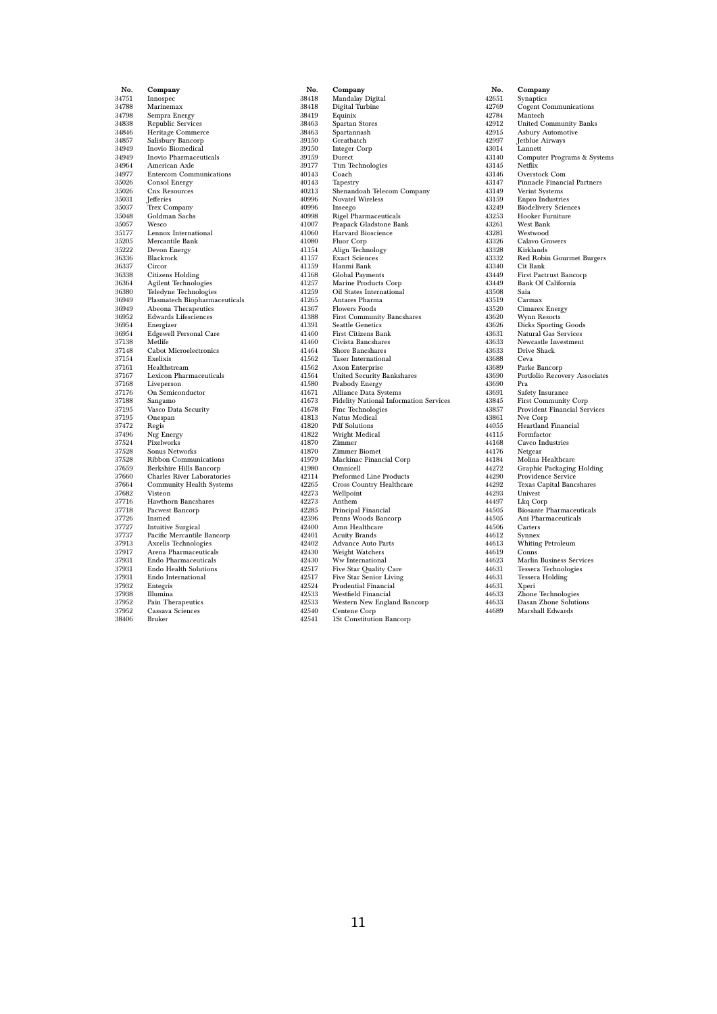| No.            | Company                                          |
|----------------|--------------------------------------------------|
| 34751          | Innospec                                         |
| 34788          | Marinemax                                        |
| 34798          | Sempra Energy                                    |
| 34838          | <b>Republic Services</b>                         |
| 34846          | Heritage Commerce                                |
| 34857          | Salisbury Bancorp                                |
| 34949          | Inovio Biomedical                                |
| 34949          | Inovio Pharmaceuticals                           |
| 34964          | American Axle                                    |
| 34977          | Entercom Communications                          |
| 35026          | <b>Consol Energy</b>                             |
| 35026          | <b>Cnx Resources</b>                             |
| 35031          | Jefferies                                        |
| 35037          | Trex Company                                     |
| 35048          | Goldman Sachs                                    |
| 35057          | Wesco<br>Lennox International                    |
| 35177<br>35205 | Mercantile Bank                                  |
| 35222          | Devon Energy                                     |
| 36336          | Blackrock                                        |
| 36337          | Circor                                           |
| 36338          | <b>Citizens Holding</b>                          |
| 36364          | <b>Agilent Technologies</b>                      |
| 36380          | Teledyne Technologies                            |
| 36949          | Plasmatech Biopharmaceuticals                    |
| 36949          | Abeona Therapeutics                              |
| 36952          | <b>Edwards Lifesciences</b>                      |
| 36954          | Energizer                                        |
| 36954          | <b>Edgewell Personal Care</b>                    |
| 37138          | Metlife                                          |
| 37148          | <b>Cabot Microelectronics</b>                    |
| 37154          | Exelixis                                         |
| 37161          | Healthstream                                     |
| 37167          | <b>Lexicon Pharmaceuticals</b>                   |
| 37168          | Liveperson                                       |
| 37176          | On Semiconductor                                 |
| 37188          | Sangamo                                          |
| 37195          | Vasco Data Security                              |
| 37195          | Onespan                                          |
| 37472          | Regis                                            |
| 37496          | Nrg Energy                                       |
| 37524          | Pixelworks                                       |
| 37528          | Sonus Networks                                   |
| 37528<br>37659 | Ribbon Communications<br>Berkshire Hills Bancorp |
| 37660          | <b>Charles River Laboratories</b>                |
| 37664          | Community Health Systems                         |
| 37682          | Visteon                                          |
| 37716          | Hawthorn Bancshares                              |
| 37718          | Pacwest Bancorp                                  |
| 37726          | Insmed                                           |
| 37727          | <b>Intuitive Surgical</b>                        |
| 37737          | Pacific Mercantile Bancorp                       |
| 37913          | Axcelis Technologies                             |
| 37917          | Arena Pharmaceuticals                            |
| 37931          | Endo Pharmaceuticals                             |
| 37931          | Endo Health Solutions                            |
| 37931          | Endo International                               |
| 37932          | Entegris                                         |
| 37938          | Illumina                                         |
| 37952          | Pain Therapeutics                                |
| 37952          | Cassava Sciences                                 |
| 38406          | Bruker                                           |
|                |                                                  |

| No.            | Company                                    |
|----------------|--------------------------------------------|
| 38418          | Mandalay Digital                           |
| 38418          | Digital Turbine                            |
| 38419          | Equinix                                    |
| 38463          | Spartan Stores                             |
| 38463          | Spartannash                                |
| 39150          | Greatbatch                                 |
| 39150          | Integer Corp                               |
| 39159          | Durect                                     |
| 39177          | Ttm Technologies                           |
| 40143          | Coach                                      |
| 40143          | Tapestry                                   |
| 40213          | Shenandoah Telecom Company                 |
| 40996          | <b>Novatel Wireless</b>                    |
| 40996          | Inseego                                    |
| 40998          | Rigel Pharmaceuticals                      |
| 41007          | Peapack Gladstone Bank                     |
| 41060          | Harvard Bioscience                         |
| 41080          | Fluor Corp                                 |
| 41154<br>41157 | Align Technology<br><b>Exact Sciences</b>  |
| 41159          | Hanmi Bank                                 |
| 41168          | Global Payments                            |
| 41257          | Marine Products Corp                       |
| 41259          | Oil States International                   |
| 41265          | Antares Pharma                             |
| 41367          | <b>Flowers Foods</b>                       |
| 41388          | First Community Bancshares                 |
| 41391          | <b>Seattle Genetics</b>                    |
| 41460          | First Citizens Bank                        |
| 41460          | Civista Bancshares                         |
| 41464          | Shore Bancshares                           |
| 41562          | <b>Taser International</b>                 |
| 41562          | Axon Enterprise                            |
| 41564          | United Security Bankshares                 |
| 41580          | Peabody Energy                             |
| 41671          | Alliance Data Systems                      |
| 41673          | Fidelity National Information Services     |
| 41678          | Fmc Technologies                           |
| 41813          | Natus Medical                              |
| 41820          | <b>Pdf Solutions</b>                       |
| 41822          | Wright Medical                             |
| 41870          | Zimmer                                     |
| 41870          | Zimmer Biomet                              |
| 41979          | Mackinac Financial Corp                    |
| 41980          | Omnicell                                   |
| 42114          | Preformed Line Products                    |
| 42265          | <b>Cross Country Healthcare</b>            |
| 42273          | Wellpoint                                  |
| 42273<br>42285 | Anthem                                     |
| 42396          | Principal Financial<br>Penns Woods Bancorp |
| 42400          | Amn Healthcare                             |
| 42401          | <b>Acuity Brands</b>                       |
| 42402          | Advance Auto Parts                         |
| 42430          | Weight Watchers                            |
| 42430          | Ww International                           |
| 42517          | Five Star Quality Care                     |
| 42517          | <b>Five Star Senior Living</b>             |
| 42524          | <b>Prudential Financial</b>                |
| 42533          | Westfield Financial                        |
| 42533          | Western New England Bancorp                |
| 42540          | Centene Corp                               |
| 42541          | 1St Constitution Bancorp                   |

No. Company 42651 Synaptics 42769 Cogent Communications 42784 Mantech 42912 United Community Banks 42915 Asbury Automotive 42997 Jetblue Airways  $\begin{tabular}{ll} 43014 & Lannett \\ 43140 & Computer Programs & Systems \\ 43145 & Nefflik \\ 43146 & Overstock Com \\ 43147 & Pinnacle Financial partners \\ 43149 & Verint Systems \\ 43159 & Empro Industries \\ 43253 & Hoolelivery Sciences \\ 43251 & Dester Fourier \\ 43261 & West Bank \\ \end{tabular}$ 43281 Westwood 43326 Calavo Growers 43328 Kirklands 43332 Red Robin Gourmet Burgers 43340 Cit Bank 43449 First Pactrust Bancorp Bank Of California 43449<br>43508 Saia<br>43519 Carn<br>43520 Cima 43519 Carmax 43520 Cimarex Energy 43620 Wynn Resorts 43626 Dicks Sporting Goods 43631 Natural Gas Services 43633 Newcastle Investment Drive Shack<br>Ceva 43633<br>43688<br>43689<br>43690 43689 Parke Bancorp 43690 Portfolio Recovery Associates  $\begin{array}{c} 43690 \\ 43691 \end{array}$ 43690 Pra<br>43691 Safety Insurance<br>43845 First Community<br>43857 Provident Financ 43845 First Community Corp 43857 Provident Financial Services 43861 Nve Corp 44055 Heartland Financial 44115 Formfactor 44168 Cavco Industries 44176 Netgear 44184 Molina Healthcare 44272 Graphic Packaging Holding 44290 Providence Service 44292 Texas Capital Bancshares 44293 Univest 44497 Lkq Corp 44505 Biosante Pharmaceuticals 44505 Ani Pharmaceuticals 44506 Carters<br>44612 Synnex 44612 Synnex<br>44613 Whiting<br>44619 Conns 44613 Whiting Petroleum 44619 Conns 44623 Marlin Business Services 44631 Tessera Technologies 44631 Tessera Holding 44631 Tesser<br>44631 Xperi<br>44633 Zhone<br>44633 Dasan 44633 Zhone Technologies 44633 Dasan Zhone Solutions 44689 Marshall Edwards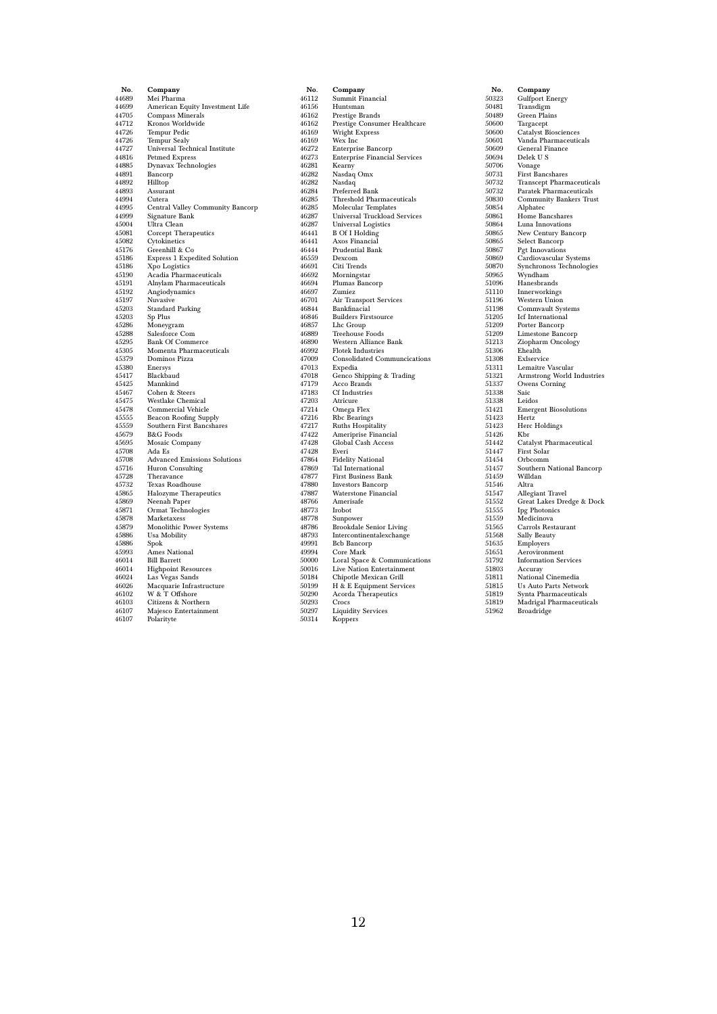| No.            | Company                                           |
|----------------|---------------------------------------------------|
| 44689          | Mei Pharma                                        |
| 44699          | American Equity Investment Life                   |
| 44705          | Compass Minerals                                  |
| 44712          | Kronos Worldwide                                  |
| 44726          | Tempur Pedic                                      |
| 44726          | Tempur Sealy                                      |
| 44727          | Universal Technical Institute                     |
| 44816          | <b>Petmed Express</b>                             |
| 44885          | Dynavax Technologies                              |
| 44891          | Bancorp                                           |
| 44892          | Hilltop                                           |
| 44893          | Assurant                                          |
| 44994          | Cutera                                            |
| 44995          | Central Valley Community Bancorp                  |
| 44999          | Signature Bank                                    |
| 45004          | Ultra Clean                                       |
| 45081          | Corcept Therapeutics                              |
| 45082          | Cytokinetics                                      |
| 45176          | Greenhill & Co                                    |
| 45186          | <b>Express 1 Expedited Solution</b>               |
| 45186          | Xpo Logistics                                     |
| 45190          | Acadia Pharmaceuticals                            |
| 45191          | Alnylam Pharmaceuticals                           |
| 45192<br>45197 | Angiodynamics<br>Nuvasive                         |
| 45203          |                                                   |
| 45203          | Standard Parking<br>Sp Plus                       |
| 45286          | Moneygram                                         |
| 45288          | Salesforce Com                                    |
| 45295          | <b>Bank Of Commerce</b>                           |
| 45305          | Momenta Pharmaceuticals                           |
| 45379          | Dominos Pizza                                     |
| 45380          | Enersys                                           |
| 45417          | Blackbaud                                         |
| 45425          | Mannkind                                          |
| 45467          | Cohen & Steers                                    |
| 45475          | Westlake Chemical                                 |
| 45478          | Commercial Vehicle                                |
| 45555          | Beacon Roofing Supply                             |
| 45559          | Southern First Bancshares                         |
| 45679          | <b>B&amp;G</b> Foods                              |
| 45695          | Mosaic Company                                    |
| 45708          | Ada Es                                            |
| 45708          | <b>Advanced Emissions Solutions</b>               |
| 45716          | Huron Consulting                                  |
| 45728          | Theravance                                        |
| 45732          | Texas Roadhouse                                   |
| 45865          | Halozyme Therapeutics                             |
| 45869          | Neenah Paper                                      |
| 45871          | Ormat Technologies                                |
| 45878          | Marketaxess                                       |
| 45879          | Monolithic Power Systems                          |
| 45886          | Usa Mobility                                      |
| 45886<br>45993 | Spok                                              |
|                | Ames National                                     |
| 46014<br>46014 | <b>Bill Barrett</b><br><b>Highpoint Resources</b> |
| 46024          | Las Vegas Sands                                   |
| 46026          | Macquarie Infrastructure                          |
| 46102          | W & T Offshore                                    |
| 46103          | Citizens & Northern                               |
| 46107          | Majesco Entertainment                             |
| 46107          | Polarityte                                        |
|                |                                                   |

| No.            | Company                                                         |
|----------------|-----------------------------------------------------------------|
| 46112          | Summit Financial                                                |
| 46156          | Huntsman                                                        |
| 46162          | Prestige Brands                                                 |
| 46162          | Prestige Consumer Healthcare                                    |
| 46169          | Wright Express                                                  |
| 46169          | Wex Inc                                                         |
| 46272          | Enterprise Bancorp                                              |
| 46273          | <b>Enterprise Financial Services</b>                            |
| 46281          | Kearny                                                          |
| 46282          | Nasdaq Omx                                                      |
| 46282<br>46284 | Nasdaq<br>Preferred Bank                                        |
| 46285          | Threshold Pharmaceuticals                                       |
| 46285          | Molecular Templates                                             |
| 46287          | <b>Universal Truckload Services</b>                             |
| 46287          | <b>Universal Logistics</b>                                      |
| 46441          | <b>B</b> Of I Holding                                           |
| 46441          | Axos Financial                                                  |
| 46444          | Prudential Bank                                                 |
| 46559          | $_{\rm{Dexcom}}$                                                |
| 46691          | Citi Trends                                                     |
| 46692          | Morningstar                                                     |
| 46694          | Plumas Bancorp                                                  |
| 46697          | Zumiez                                                          |
| 46701          | Air Transport Services                                          |
| 46844          | Bankfinacial                                                    |
| 46846          | <b>Builders Firstsource</b>                                     |
| 46857          | Lhc Group                                                       |
| 46889          | Treehouse Foods                                                 |
| 46890          | Western Alliance Bank                                           |
| 46992<br>47009 | <b>Flotek Industries</b><br><b>Consolidated Communcications</b> |
| 47013          | Expedia                                                         |
| 47018          | Genco Shipping & Trading                                        |
| 47179          | Acco Brands                                                     |
| 47183          | <b>Cf</b> Industries                                            |
| 47203          | Atricure                                                        |
| 47214          | Omega Flex                                                      |
| 47216          | Rbc Bearings                                                    |
| 47217          | Ruths Hospitality                                               |
| 47422          | Ameriprise Financial                                            |
| 47428          | Global Cash Access                                              |
| 47428          | Everi                                                           |
| 47864          | <b>Fidelity National</b>                                        |
| 47869          | Tal International                                               |
| 47877          | <b>First Business Bank</b>                                      |
| 47880<br>47887 | <b>Investors Bancorp</b><br>Waterstone Financial                |
| 48766          | Amerisafe                                                       |
| 48773          | Irobot                                                          |
| 48778          | Sunpower                                                        |
| 48786          | Brookdale Senior Living                                         |
| 48793          | Intercontinentalexchange                                        |
| 49991          | <b>Bcb Bancorp</b>                                              |
| 49994          | Core Mark                                                       |
| 50000          | Loral Space & Communications                                    |
| 50016          | Live Nation Entertainment                                       |
| 50184          | Chipotle Mexican Grill                                          |
| 50199          | H & E Equipment Services                                        |
| 50290          | Acorda Therapeutics                                             |
| 50293          | Crocs                                                           |
| 50297          | <b>Liquidity Services</b>                                       |
| 50314          | Koppers                                                         |

No. Company 50323 Gulfport Energy 50481 Transdigm 50489 Green Plains 50600 Targacept 50600 Catalyst Biosciences 50601 Vanda Pharmaceuticals 50609 General Finance<br>50694 Delek U S 50694 Delek U S 50706 Vonage 50731 First Bancshares 50732 Transcept Pharmaceuticals 50732 Paratek Pharmaceuticals 50830 Community Bankers Trust<br>50854 Alphatec 50854 Alphatec 50861 Home Bancshares 50864 Luna Innovations 50865 New Century Bancorp 50865 Select Bancorp 50867 Pgt Innovations 50869 Cardiovascular Systems 50870 Synchronoss Technologies 50965 Wyndham 51096 Hanesbrands<br>51110 Innerworking 51110 Innerworkings 51196 Western Union 51198 Commvault Systems 51205 Icf International 51209 Porter Bancorp 51209 Limestone Bancorp 51213 Ziopharm Oncology 51306 Ehealth 51308 Exlservice 51311 Lemaitre Vascular 51321 Armstrong World Industries 51337 Owens Corning 51338 Saic<br>51338 Leidos 51338 Leidos Emergent Biosolutions<br>Hertz 51423 Hertz 51423 Herc Holdings  $\begin{array}{c} 51426 \\ 51442 \end{array}$  $\begin{tabular}{ll} 51426 &\quad & \texttt{Catalyst} {\bf {\emph{P}}harmacential} \\ 51442 &\quad & \texttt{Catalyst} {\bf {\emph{P}}harmacential} \\ 51454 &\quad & \texttt{Orbcomm} \\ 51457 &\quad & \texttt{Southern National Bancc} \\ \end{tabular}$ 51447 First Solar 51454 Orbcomm 51457 Southern National Bancorp 51459 Willdan<br>51546 Altra 51546 Altra<br>51547 Allegia<br>51552 Great 51547 Allegiant Travel 51552 Great Lakes Dredge & Dock 51555 Ipg Photonics 51559 Medicinova 51565 Carrols Restaurant<br>51568 Sally Beauty 51568 Sally Beauty 51635 Employers 51651 Aerovironment 51792 Information Services<br>51803 Accuray 51803 Accuray 51811 National Cinemedia 51815 Us Auto Parts Network 51819 Synta Pharmaceuticals 51819 Madrigal Pharmaceuticals 51962 Broadridge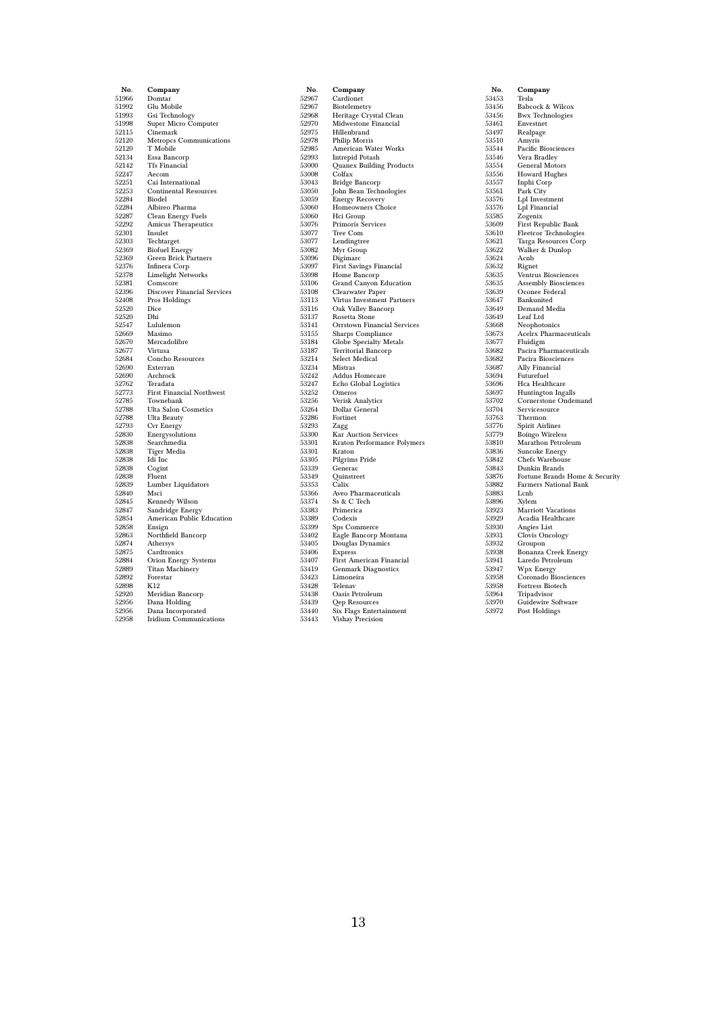| No.            | Company                             |
|----------------|-------------------------------------|
| 51966          | Domtar                              |
| 51992          | Glu Mobile                          |
| 51993          | Gsi Technology                      |
| 51998          | Super Micro Computer                |
| 52115          | Cinemark                            |
| 52120          | <b>Metropcs Communications</b>      |
| 52120          | T Mobile                            |
| 52134          | Essa Bancorp                        |
| 52142          | <b>Tfs Financial</b>                |
| 52247          | Aecom                               |
| 52251          | Cai International                   |
| 52253          | <b>Continental Resources</b>        |
| 52284          | Biodel                              |
| 52284          | Albireo Pharma                      |
| 52287          | Clean Energy Fuels                  |
| 52292<br>52301 | Amicus Therapeutics                 |
| 52303          | Insulet                             |
| 52369          | Techtarget<br><b>Biofuel Energy</b> |
| 52369          | Green Brick Partners                |
| 52376          | Infinera Corp                       |
| 52378          | <b>Limelight Networks</b>           |
| 52381          | Comscore                            |
| 52396          | <b>Discover Financial Services</b>  |
| 52408          | Pros Holdings                       |
| 52520          | Dice                                |
| 52520          | Dhi                                 |
| 52547          | Lululemon                           |
| 52669          | Masimo                              |
| 52670          | Mercadolibre                        |
| 52677          | Virtusa                             |
| 52684          | Concho Resources                    |
| 52690          | Exterran                            |
| 52690          | Archrock                            |
| 52762          | Teradata                            |
| 52773          | <b>First Financial Northwest</b>    |
| 52785          | Townebank                           |
| 52788          | <b>Ulta Salon Cosmetics</b>         |
| 52788          | Ulta Beauty                         |
| 52793<br>52830 | Cvr Energy                          |
| 52838          | Energysolutions                     |
| 52838          | Searchmedia<br>Tiger Media          |
| 52838          | Idi Inc                             |
| 52838          | Cogint                              |
| 52838          | Fluent                              |
| 52839          | Lumber Liquidators                  |
| 52840          | Msci                                |
| 52845          | <b>Kennedy Wilson</b>               |
| 52847          | Sandridge Energy                    |
| 52854          | American Public Education           |
| 52858          | Ensign                              |
| 52863          | Northfield Bancorp                  |
| 52874          | Athersys                            |
| 52875          | Cardtronics                         |
| 52884          | Orion Energy Systems                |
| 52889          | <b>Titan Machinery</b>              |
| 52892          | Forestar                            |
| 52898          | K12                                 |
| 52920          | Meridian Bancorp                    |
| 52956          | Dana Holding                        |
| 52956          | Dana Incorporated                   |
| 52958          | <b>Iridium Communications</b>       |

| No.            | Company                                     |
|----------------|---------------------------------------------|
| 52967          | Cardionet                                   |
| 52967          | Biotelemetry                                |
| 52968          | Heritage Crystal Clean                      |
| 52970          | Midwestone Financial                        |
| 52975          | Hillenbrand                                 |
| 52978          | Philip Morris                               |
| 52985          | American Water Works                        |
| 52993          | Intrepid Potash                             |
| 53000          | <b>Quanex Building Products</b>             |
| 53008          | Colfax                                      |
| 53043          | Bridge Bancorp                              |
| 53050          | John Bean Technologies                      |
| 53059          | <b>Energy Recovery</b>                      |
| 53060          | Homeowners Choice                           |
| 53060          | Hci Group                                   |
| 53076          | Primoris Services                           |
| 53077          | Tree Com                                    |
| 53077          | Lendingtree                                 |
| 53082          | Myr Group                                   |
| 53096          | Digimarc                                    |
| 53097          | First Savings Financial                     |
| 53098          | Home Bancorp                                |
| 53106          | <b>Grand Canyon Education</b>               |
| 53108          | Clearwater Paper                            |
| 53113          | Virtus Investment Partners                  |
| 53116<br>53137 | Oak Valley Bancorp                          |
| 53141          | Rosetta Stone                               |
|                | Orrstown Financial Services                 |
| 53155<br>53184 | Sharps Compliance<br>Globe Specialty Metals |
| 53187          | <b>Territorial Bancorp</b>                  |
| 53214          | <b>Select Medical</b>                       |
| 53234          | Mistras                                     |
| 53242          | <b>Addus Homecare</b>                       |
| 53247          | Echo Global Logistics                       |
| 53252          | Omeros                                      |
| 53256          | <b>Verisk Analytics</b>                     |
| 53264          | Dollar General                              |
| 53286          | Fortinet                                    |
| 53293          | Zagg                                        |
| 53300          | Kar Auction Services                        |
| 53301          | Kraton Performance Polymers                 |
| 53301          | Kraton                                      |
| 53305          | Pilgrims Pride                              |
| 53339          | Generac                                     |
| 53349          | Quinstreet                                  |
| 53353          | Calix                                       |
| 53366          | Aveo Pharmaceuticals                        |
| 53374          | Ss & C Tech                                 |
| 53383          | Primerica                                   |
| 53389          | Codexis                                     |
| 53399          | Sps Commerce                                |
| 53402          | Eagle Bancorp Montana                       |
| 53405          | Douglas Dynamics                            |
| 53406          | Express                                     |
| 53407          | First American Financial                    |
| 53419          | <b>Genmark Diagnostics</b>                  |
| 53423          | Limoneira                                   |
| 53428          | Telenav                                     |
| 53438          | Oasis Petroleum                             |
| 53439          | Qep Resources                               |
| 53440          | Six Flags Entertainment                     |
| 53443          | Vishay Precision                            |

| No.            | Company                          |
|----------------|----------------------------------|
| 53453          | Tesla                            |
| 53456          | Babcock & Wilcox                 |
| 53456          | <b>Bwx Technologies</b>          |
| 53461          | Envestnet                        |
| 53497          | Realpage                         |
| 53510          | Amyris                           |
| 53544          | Pacific Biosciences              |
| 53546          | Vera Bradley                     |
| 53554          | General Motors                   |
| 53556          | Howard Hughes                    |
| 53557          | Inphi Corp                       |
| 53561          | Park City                        |
| 53576          | Lpl Investment                   |
| 53576          | Lpl Financial                    |
| 53585          | Zogenix                          |
| 53609          | First Republic Bank              |
| 53610          | <b>Fleetcor Technologies</b>     |
| 53621          | Targa Resources Corp             |
| 53622          | Walker & Dunlop                  |
| 53624          | Acnb                             |
| 53632          | Rignet                           |
| 53635          | Ventrus Biosciences              |
| 53635          | Assembly Biosciences             |
| 53639          | Oconee Federal                   |
| 53647          | Bankunited                       |
| 53649          | Demand Media                     |
| 53649          | Leaf Ltd                         |
| 53668          | Neophotonics                     |
| 53673          | <b>Acelrx Pharmaceuticals</b>    |
| 53677          | Fluidigm                         |
| 53682          | Pacira Pharmaceuticals           |
| 53682          | Pacira Biosciences               |
| 53687          | Ally Financial                   |
| 53694          | Futurefuel                       |
| 53696          | Hca Healthcare                   |
| 53697          | <b>Huntington Ingalls</b>        |
| 53702          | Cornerstone Ondemand             |
| 53704          | Servicesource                    |
| 53763          | Thermon                          |
| 53776          | Spirit Airlines                  |
| 53779          | <b>Boingo Wireless</b>           |
| 53810<br>53836 | Marathon Petroleum               |
| 53842          | Suncoke Energy                   |
| 53843          | Chefs Warehouse<br>Dunkin Brands |
| 53876          | Fortune Brands Home & Security   |
| 53882          | <b>Farmers National Bank</b>     |
| 53883          | Lcnb                             |
| 53896          | Xylem                            |
| 53923          | <b>Marriott Vacations</b>        |
| 53929          | Acadia Healthcare                |
| 53930          | Angies List                      |
| 53931          | Clovis Oncology                  |
| 53932          | Groupon                          |
| 53938          | Bonanza Creek Energy             |
| 53941          | Laredo Petroleum                 |
| 53947          | Wpx Energy                       |
| 53958          | Coronado Biosciences             |
| 53958          | Fortress Biotech                 |
| 53964          | Tripadvisor                      |
| 53970          | Guidewire Software               |
| 53972          | Post Holdings                    |
|                |                                  |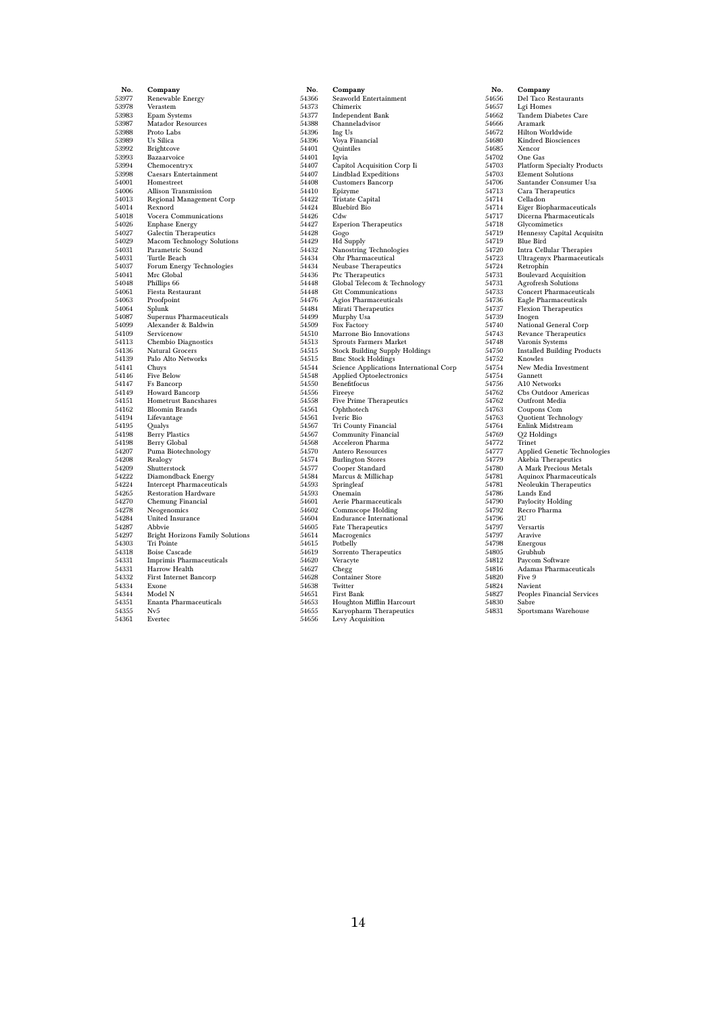| No.            | Company                                                         |
|----------------|-----------------------------------------------------------------|
| 53977          | Renewable Energy                                                |
| 53978          | Verastem                                                        |
| 53983          | Epam Systems                                                    |
| 53987          | <b>Matador Resources</b>                                        |
| 53988          | Proto Labs                                                      |
| 53989          | Us Silica                                                       |
| 53992          | <b>Brightcove</b>                                               |
| 53993          | Bazaarvoice                                                     |
| 53994          | Chemocentryx                                                    |
| 53998<br>54001 | <b>Caesars Entertainment</b><br>Homestreet                      |
| 54006          | Allison Transmission                                            |
| 54013          | <b>Regional Management Corp</b>                                 |
| 54014          | Rexnord                                                         |
| 54018          | Vocera Communications                                           |
| 54026          | <b>Enphase Energy</b>                                           |
| 54027          | Galectin Therapeutics                                           |
| 54029          | <b>Macom Technology Solutions</b>                               |
| 54031          | Parametric Sound                                                |
| 54031          | Turtle Beach                                                    |
| 54037          | Forum Energy Technologies                                       |
| 54041<br>54048 | Mrc Global                                                      |
| 54061          | Phillips 66<br>Fiesta Restaurant                                |
| 54063          | Proofpoint                                                      |
| 54064          | Splunk                                                          |
| 54087          | Supernus Pharmaceuticals                                        |
| 54099          | Alexander & Baldwin                                             |
| 54109          | Servicenow                                                      |
| 54113          | <b>Chembio Diagnostics</b>                                      |
| 54136          | Natural Grocers                                                 |
| 54139          | Palo Alto Networks                                              |
| 54141          | Chuys                                                           |
| 54146          | Five Below                                                      |
| 54147<br>54149 | Fs Bancorp<br>Howard Bancorp                                    |
| 54151          | Hometrust Bancshares                                            |
| 54162          | <b>Bloomin Brands</b>                                           |
| 54194          | Lifevantage                                                     |
| 54195          | Qualys                                                          |
| 54198          | <b>Berry Plastics</b>                                           |
| 54198          | <b>Berry Global</b>                                             |
| 54207          | Puma Biotechnology                                              |
| 54208          | Realogy                                                         |
| 54209          | Shutterstock                                                    |
| 54222          | Diamondback Energy                                              |
| 54224<br>54265 | <b>Intercept Pharmaceuticals</b><br><b>Restoration Hardware</b> |
| 54270          | Chemung Financial                                               |
| 54278          | Neogenomics                                                     |
| 54284          | United Insurance                                                |
| 54287          | Abbvie                                                          |
| 54297          | <b>Bright Horizons Family Solutions</b>                         |
| 54303          | Tri Pointe                                                      |
| 54318          | <b>Boise Cascade</b>                                            |
| 54331          | <b>Imprimis Pharmaceuticals</b>                                 |
| 54331          | Harrow Health                                                   |
| 54332          | <b>First Internet Bancorp</b>                                   |
| 54334<br>54344 | Exone<br>Model N                                                |
| 54351          | Enanta Pharmaceuticals                                          |
| 54355          | Nv5                                                             |
| 54361          | Evertec                                                         |
|                |                                                                 |

| No.            | Company                                       |
|----------------|-----------------------------------------------|
| 54366          | Seaworld Entertainment                        |
| 54373          | Chimerix                                      |
| 54377          | Independent Bank                              |
| 54388          | Channeladvisor                                |
| 54396          | Ing Us                                        |
| 54396          | Voya Financial                                |
| 54401          | Quintiles                                     |
| 54401          | Iqvia                                         |
| 54407          | Capitol Acquisition Corp Ii                   |
| 54407          | Lindblad Expeditions                          |
| 54408          | Customers Bancorp                             |
| 54410          | Epizyme                                       |
| 54422          | Tristate Capital                              |
| 54424          | <b>Bluebird Bio</b>                           |
| 54426          | Cdw                                           |
| 54427          | <b>Esperion Therapeutics</b>                  |
| 54428          | Gogo                                          |
| 54429          | Hd Supply                                     |
| 54432<br>54434 | Nanostring Technologies<br>Ohr Pharmaceutical |
| 54434          |                                               |
| 54436          | Neubase Therapeutics<br>Ptc Therapeutics      |
| 54448          | Global Telecom & Technology                   |
| 54448          | <b>Gtt Communications</b>                     |
| 54476          | Agios Pharmaceuticals                         |
| 54484          | Mirati Therapeutics                           |
| 54499          | Murphy Usa                                    |
| 54509          | Fox Factory                                   |
| 54510          | Marrone Bio Innovations                       |
| 54513          | <b>Sprouts Farmers Market</b>                 |
| 54515          | <b>Stock Building Supply Holdings</b>         |
| 54515          | <b>Bmc Stock Holdings</b>                     |
| 54544          | Science Applications International Corp       |
| 54548          | Applied Optoelectronics                       |
| 54550          | Benefitfocus                                  |
| 54556          | Fireeye                                       |
| 54558          | <b>Five Prime Therapeutics</b>                |
| 54561          | Ophthotech                                    |
| 54561          | Iveric Bio                                    |
| 54567          | Tri County Financial                          |
| 54567          | <b>Community Financial</b>                    |
| 54568          | Acceleron Pharma                              |
| 54570          | Antero Resources                              |
| 54574          | <b>Burlington Stores</b>                      |
| 54577          | Cooper Standard                               |
| 54584<br>54593 | Marcus & Millichap                            |
| 54593          | Springleaf<br>Onemain                         |
| 54601          | Aerie Pharmaceuticals                         |
| 54602          | Commscope Holding                             |
| 54604          | <b>Endurance International</b>                |
| 54605          | <b>Fate Therapeutics</b>                      |
| 54614          | Macrogenics                                   |
| 54615          | Potbelly                                      |
| 54619          | Sorrento Therapeutics                         |
| 54620          | Veracyte                                      |
| 54627          | Chegg                                         |
| 54628          | <b>Container Store</b>                        |
| 54638          | Twitter                                       |
| 54651          | First Bank                                    |
| 54653          | Houghton Mifflin Harcourt                     |
| 54655          | Karyopharm Therapeutics                       |
| 54656          | <b>Levy Acquisition</b>                       |
|                |                                               |

| No.            | Company                            |  |  |  |  |
|----------------|------------------------------------|--|--|--|--|
| 54656          | Del Taco Restaurants               |  |  |  |  |
| 54657          | Lgi Homes                          |  |  |  |  |
| 54662          | <b>Tandem Diabetes Care</b>        |  |  |  |  |
| 54666          | Aramark                            |  |  |  |  |
| 54672          | Hilton Worldwide                   |  |  |  |  |
| 54680          | <b>Kindred Biosciences</b>         |  |  |  |  |
| 54685          | Xencor                             |  |  |  |  |
| 54702          | One Gas                            |  |  |  |  |
| 54703          | <b>Platform Specialty Products</b> |  |  |  |  |
| 54703          | <b>Element Solutions</b>           |  |  |  |  |
| 54706          | Santander Consumer Usa             |  |  |  |  |
| 54713          | Cara Therapeutics                  |  |  |  |  |
| 54714          | Celladon                           |  |  |  |  |
| 54714          | Eiger Biopharmaceuticals           |  |  |  |  |
| 54717          | Dicerna Pharmaceuticals            |  |  |  |  |
| 54718          | Glycomimetics                      |  |  |  |  |
| 54719          | Hennessy Capital Acquisitn         |  |  |  |  |
| 54719          | Blue Bird                          |  |  |  |  |
| 54720          | Intra Cellular Therapies           |  |  |  |  |
| 54723          | <b>Ultragenyx Pharmaceuticals</b>  |  |  |  |  |
| 54724          | Retrophin                          |  |  |  |  |
| 54731          | <b>Boulevard Acquisition</b>       |  |  |  |  |
| 54731          | <b>Agrofresh Solutions</b>         |  |  |  |  |
| 54733          | <b>Concert Pharmaceuticals</b>     |  |  |  |  |
| 54736          | Eagle Pharmaceuticals              |  |  |  |  |
| 54737          | Flexion Therapeutics               |  |  |  |  |
| 54739          | Inogen                             |  |  |  |  |
| 54740          | National General Corp              |  |  |  |  |
| 54743          | Revance Therapeutics               |  |  |  |  |
| 54748          | Varonis Systems                    |  |  |  |  |
| 54750<br>54752 | <b>Installed Building Products</b> |  |  |  |  |
|                | Knowles                            |  |  |  |  |
| 54754          | New Media Investment               |  |  |  |  |
| 54754<br>54756 | Gannett<br>A10 Networks            |  |  |  |  |
| 54762          | Cbs Outdoor Americas               |  |  |  |  |
| 54762          | Outfront Media                     |  |  |  |  |
| 54763          | Coupons Com                        |  |  |  |  |
| 54763          | Quotient Technology                |  |  |  |  |
| 54764          | Enlink Midstream                   |  |  |  |  |
| 54769          | Q <sub>2</sub> Holdings            |  |  |  |  |
| 54772          | Trinet                             |  |  |  |  |
| 54777          | Applied Genetic Technologies       |  |  |  |  |
| 54779          | Akebia Therapeutics                |  |  |  |  |
| 54780          | A Mark Precious Metals             |  |  |  |  |
| 54781          | Aquinox Pharmaceuticals            |  |  |  |  |
| 54781          | Neoleukin Therapeutics             |  |  |  |  |
| 54786          | Lands End                          |  |  |  |  |
| 54790          | Paylocity Holding                  |  |  |  |  |
| 54792          | Recro Pharma                       |  |  |  |  |
| 54796          | $_{\rm 2U}$                        |  |  |  |  |
| 54797          | Versartis                          |  |  |  |  |
| 54797          | Aravive                            |  |  |  |  |
| 54798          | Energous                           |  |  |  |  |
| 54805          | Grubhub                            |  |  |  |  |
| 54812          | Paycom Software                    |  |  |  |  |
| 54816          | Adamas Pharmaceuticals             |  |  |  |  |
| 54820          | Five 9                             |  |  |  |  |
| 54824          | Navient                            |  |  |  |  |
| 54827          | Peoples Financial Services         |  |  |  |  |
| 54830          | Sabre                              |  |  |  |  |
| 54831          | Sportsmans Warehouse               |  |  |  |  |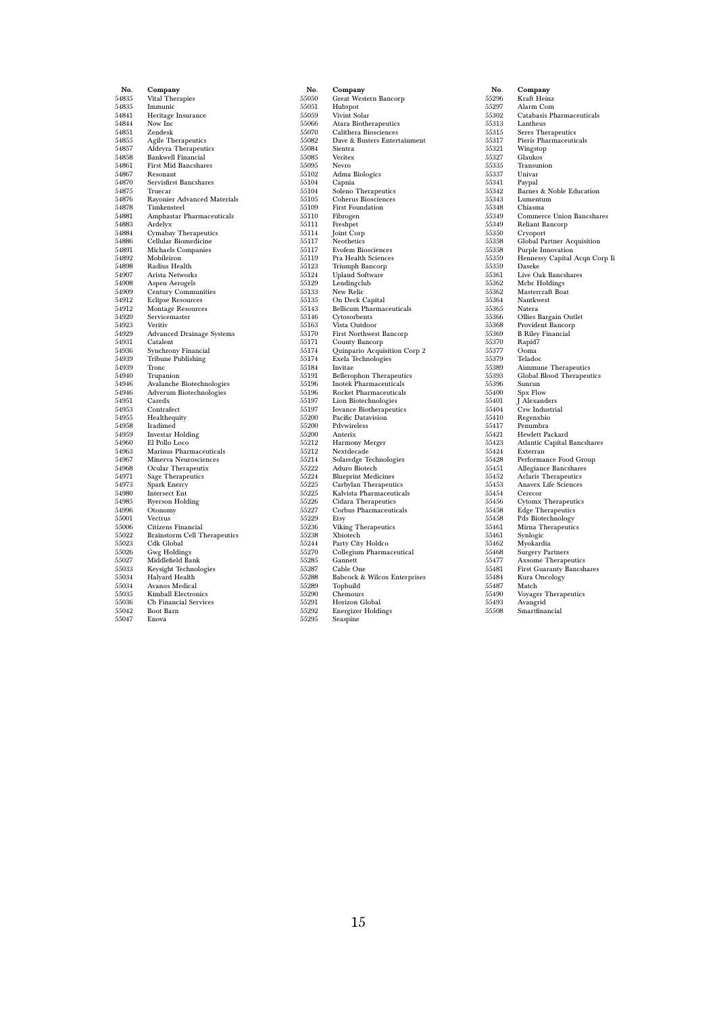| No.            | Company                                      |  |  |  |  |
|----------------|----------------------------------------------|--|--|--|--|
| 54835          | Vital Therapies                              |  |  |  |  |
| 54835          | Immunic                                      |  |  |  |  |
| 54841          | Heritage Insurance                           |  |  |  |  |
| 54844          | Now Inc                                      |  |  |  |  |
| 54851          | Zendesk                                      |  |  |  |  |
| 54855          | <b>Agile Therapeutics</b>                    |  |  |  |  |
| 54857          | Aldeyra Therapeutics                         |  |  |  |  |
| 54858          | <b>Bankwell Financial</b>                    |  |  |  |  |
| 54861          | <b>First Mid Bancshares</b>                  |  |  |  |  |
| 54867          | Resonant                                     |  |  |  |  |
| 54870          | Servisfirst Bancshares                       |  |  |  |  |
| 54875          | Truecar                                      |  |  |  |  |
| 54876          | Rayonier Advanced Materials                  |  |  |  |  |
| 54878          | Timkensteel                                  |  |  |  |  |
| 54881          | Amphastar Pharmaceuticals                    |  |  |  |  |
| 54883<br>54884 | Ardelyx                                      |  |  |  |  |
| 54886          | Cymabay Therapeutics<br>Cellular Biomedicine |  |  |  |  |
| 54891          | Michaels Companies                           |  |  |  |  |
| 54892          | Mobileiron                                   |  |  |  |  |
| 54898          | Radius Health                                |  |  |  |  |
| 54907          | Arista Networks                              |  |  |  |  |
| 54908          | Aspen Aerogels                               |  |  |  |  |
| 54909          | <b>Century Communities</b>                   |  |  |  |  |
| 54912          | <b>Eclipse Resources</b>                     |  |  |  |  |
| 54912          | <b>Montage Resources</b>                     |  |  |  |  |
| 54920          | Servicemaster                                |  |  |  |  |
| 54923          | Veritiv                                      |  |  |  |  |
| 54929          | <b>Advanced Drainage Systems</b>             |  |  |  |  |
| 54931          | Catalent                                     |  |  |  |  |
| 54936          | Synchrony Financial                          |  |  |  |  |
| 54939          | <b>Tribune Publishing</b>                    |  |  |  |  |
| 54939          | Tronc                                        |  |  |  |  |
| 54940          | Trupanion                                    |  |  |  |  |
| 54946<br>54946 | Avalanche Biotechnologies                    |  |  |  |  |
| 54951          | Adverum Biotechnologies<br>Caredx            |  |  |  |  |
| 54953          | Contrafect                                   |  |  |  |  |
| 54955          | Healthequity                                 |  |  |  |  |
| 54958          | Iradimed                                     |  |  |  |  |
| 54959          | <b>Investar Holding</b>                      |  |  |  |  |
| 54960          | El Pollo Loco                                |  |  |  |  |
| 54963          | Marinus Pharmaceuticals                      |  |  |  |  |
| 54967          | Minerva Neurosciences                        |  |  |  |  |
| 54968          | Ocular Therapeutix                           |  |  |  |  |
| 54971          | Sage Therapeutics                            |  |  |  |  |
| 54973          | Spark Enercy                                 |  |  |  |  |
| 54980          | <b>Intersect Ent</b>                         |  |  |  |  |
| 54985          | <b>Ryerson Holding</b>                       |  |  |  |  |
| 54996          | Otonomy                                      |  |  |  |  |
| 55001          | Vectrus                                      |  |  |  |  |
| 55006          | Citizens Financial                           |  |  |  |  |
| 55022<br>55023 | <b>Brainstorm Cell Therapeutics</b>          |  |  |  |  |
| 55026          | Cdk Global<br>Gwg Holdings                   |  |  |  |  |
| 55027          | Middlefield Bank                             |  |  |  |  |
| 55033          | Keysight Technologies                        |  |  |  |  |
| 55034          | <b>Halyard Health</b>                        |  |  |  |  |
| 55034          | <b>Avanos Medical</b>                        |  |  |  |  |
| 55035          | <b>Kimball Electronics</b>                   |  |  |  |  |
| 55036          | Cb Financial Services                        |  |  |  |  |
| 55042          | <b>Boot Barn</b>                             |  |  |  |  |
| 55047          | Enova                                        |  |  |  |  |

| No.            | Company                                   |  |  |  |  |
|----------------|-------------------------------------------|--|--|--|--|
| 55050          | Great Western Bancorp                     |  |  |  |  |
| 55051          | Hubspot                                   |  |  |  |  |
| 55059          | Vivint Solar                              |  |  |  |  |
| 55066          | Atara Biotherapeutics                     |  |  |  |  |
| 55070          | Calithera Biosciences                     |  |  |  |  |
| 55082          | Dave & Busters Entertainment              |  |  |  |  |
| 55084          | Sientra                                   |  |  |  |  |
| 55085          | Veritex                                   |  |  |  |  |
| 55095          | Nevro                                     |  |  |  |  |
| 55102          | Adma Biologics                            |  |  |  |  |
| 55104          | Capnia                                    |  |  |  |  |
| 55104          | Soleno Therapeutics                       |  |  |  |  |
| 55105          | Coherus Biosciences                       |  |  |  |  |
| 55109          | <b>First Foundation</b>                   |  |  |  |  |
| 55110          | Fibrogen                                  |  |  |  |  |
| 55111          | Freshpet                                  |  |  |  |  |
| 55114          | Joint Corp                                |  |  |  |  |
| 55117          | Neothetics                                |  |  |  |  |
| 55117          | <b>Evofem Biosciences</b>                 |  |  |  |  |
| 55119          | Pra Health Sciences                       |  |  |  |  |
| 55123          | Triumph Bancorp                           |  |  |  |  |
| 55124          | <b>Upland Software</b>                    |  |  |  |  |
| 55129          | Lendingclub                               |  |  |  |  |
| 55133          | New Relic                                 |  |  |  |  |
| 55135          | On Deck Capital                           |  |  |  |  |
| 55143          | <b>Bellicum Pharmaceuticals</b>           |  |  |  |  |
| 55146<br>55163 | Cytosorbents                              |  |  |  |  |
| 55170          | Vista Outdoor                             |  |  |  |  |
| 55171          | First Northwest Bancorp<br>County Bancorp |  |  |  |  |
| 55174          | Quinpario Acquisition Corp 2              |  |  |  |  |
| 55174          | Exela Technologies                        |  |  |  |  |
| 55184          | Invitae                                   |  |  |  |  |
| 55191          | <b>Bellerophon Therapeutics</b>           |  |  |  |  |
| 55196          | Inotek Pharmaceuticals                    |  |  |  |  |
| 55196          | Rocket Pharmaceuticals                    |  |  |  |  |
| 55197          | Lion Biotechnologies                      |  |  |  |  |
| 55197          | <b>Iovance Biotherapeutics</b>            |  |  |  |  |
| 55200          | Pacific Datavision                        |  |  |  |  |
| 55200          | Pdvwireless                               |  |  |  |  |
| 55200          | Anterix                                   |  |  |  |  |
| 55212          | <b>Harmony Merger</b>                     |  |  |  |  |
| 55212          | Nextdecade                                |  |  |  |  |
| 55214          | Solaredge Technologies                    |  |  |  |  |
| 55222          | Aduro Biotech                             |  |  |  |  |
| 55224          | <b>Blueprint Medicines</b>                |  |  |  |  |
| 55225          | Carbylan Therapeutics                     |  |  |  |  |
| 55225          | Kalvista Pharmaceuticals                  |  |  |  |  |
| 55226          | Cidara Therapeutics                       |  |  |  |  |
| 55227          | Corbus Pharmaceuticals                    |  |  |  |  |
| 55229          | Etsy                                      |  |  |  |  |
| 55236          | Viking Therapeutics                       |  |  |  |  |
| 55238          | Xbiotech                                  |  |  |  |  |
| 55244          | Party City Holdco                         |  |  |  |  |
| 55270          | Collegium Pharmaceutical                  |  |  |  |  |
| 55285          | Gannett                                   |  |  |  |  |
| 55287          | Cable One                                 |  |  |  |  |
| 55288          | Babcock & Wilcox Enterprises              |  |  |  |  |
| 55289          | Topbuild                                  |  |  |  |  |
| 55290          | Chemours                                  |  |  |  |  |
| 55291          | Horizon Global                            |  |  |  |  |
| 55292          | <b>Energizer Holdings</b>                 |  |  |  |  |
| 55295          | Seaspine                                  |  |  |  |  |

| Company                                 |  |  |  |  |
|-----------------------------------------|--|--|--|--|
| Kraft Heinz                             |  |  |  |  |
| Alarm Com                               |  |  |  |  |
| Catabasis Pharmaceuticals               |  |  |  |  |
| Lantheus                                |  |  |  |  |
| Seres Therapeutics                      |  |  |  |  |
| Pieris Pharmaceuticals                  |  |  |  |  |
| Wingstop                                |  |  |  |  |
| Glaukos                                 |  |  |  |  |
| Transunion                              |  |  |  |  |
| Univar                                  |  |  |  |  |
| Paypal                                  |  |  |  |  |
| Barnes & Noble Education                |  |  |  |  |
| Lumentum                                |  |  |  |  |
| Chiasma                                 |  |  |  |  |
| Commerce Union Bancshares               |  |  |  |  |
| Reliant Bancorp                         |  |  |  |  |
| Cryoport                                |  |  |  |  |
| Global Partner Acquisition              |  |  |  |  |
| Purple Innovation                       |  |  |  |  |
| Hennessy Capital Acqn Corp Ii           |  |  |  |  |
| Daseke                                  |  |  |  |  |
| Live Oak Bancshares                     |  |  |  |  |
| Mcbc Holdings                           |  |  |  |  |
| Mastercraft Boat                        |  |  |  |  |
| Nantkwest                               |  |  |  |  |
| Natera                                  |  |  |  |  |
| Ollies Bargain Outlet                   |  |  |  |  |
| Provident Bancorp                       |  |  |  |  |
| <b>B Riley Financial</b>                |  |  |  |  |
| Rapid7                                  |  |  |  |  |
| Ooma                                    |  |  |  |  |
| Teladoc                                 |  |  |  |  |
| <b>Aimmune Therapeutics</b>             |  |  |  |  |
| Global Blood Therapeutics               |  |  |  |  |
| Sunrun                                  |  |  |  |  |
| Spx Flow                                |  |  |  |  |
| J Alexanders                            |  |  |  |  |
| Csw Industrial                          |  |  |  |  |
| Regenxbio<br>Penumbra                   |  |  |  |  |
| Hewlett Packard                         |  |  |  |  |
|                                         |  |  |  |  |
| Atlantic Capital Bancshares<br>Exterran |  |  |  |  |
| Performance Food Group                  |  |  |  |  |
| Allegiance Bancshares                   |  |  |  |  |
| Aclaris Therapeutics                    |  |  |  |  |
| Anavex Life Sciences                    |  |  |  |  |
| Cerecor                                 |  |  |  |  |
| Cytomx Therapeutics                     |  |  |  |  |
| <b>Edge Therapeutics</b>                |  |  |  |  |
| Pds Biotechnology                       |  |  |  |  |
| Mirna Therapeutics                      |  |  |  |  |
| Synlogic                                |  |  |  |  |
| Myokardia                               |  |  |  |  |
| <b>Surgery Partners</b>                 |  |  |  |  |
| <b>Axsome Therapeutics</b>              |  |  |  |  |
| First Guaranty Bancshares               |  |  |  |  |
| Kura Oncology                           |  |  |  |  |
| Match                                   |  |  |  |  |
| Voyager Therapeutics                    |  |  |  |  |
| Avangrid                                |  |  |  |  |
| Smartfinancial                          |  |  |  |  |
|                                         |  |  |  |  |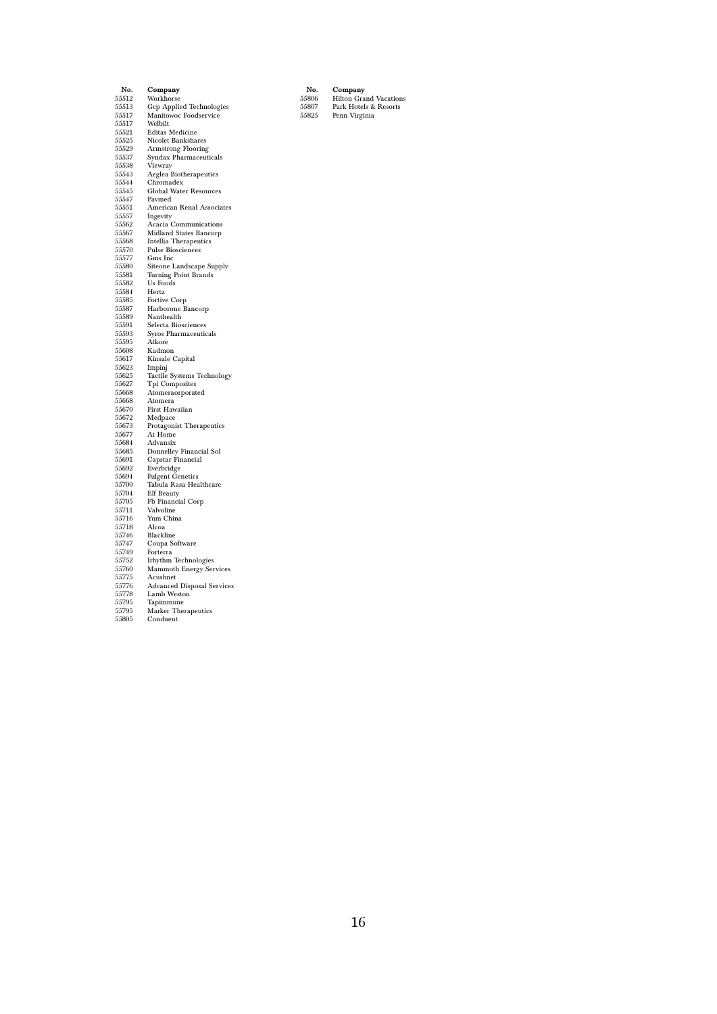| No.   | Company                               |  |  |  |
|-------|---------------------------------------|--|--|--|
| 55512 | Workhorse                             |  |  |  |
| 55513 | <b>Gcp Applied Technologies</b>       |  |  |  |
| 55517 | Manitowoc Foodservice                 |  |  |  |
| 55517 | Welbilt                               |  |  |  |
| 55521 | <b>Editas Medicine</b>                |  |  |  |
| 55525 | Nicolet Bankshares                    |  |  |  |
| 55529 | Armstrong Flooring                    |  |  |  |
| 55537 | Syndax Pharmaceuticals                |  |  |  |
| 55538 | Viewray                               |  |  |  |
| 55543 | Aeglea Biotherapeutics                |  |  |  |
| 55544 | Chromadex                             |  |  |  |
| 55545 | <b>Global Water Resources</b>         |  |  |  |
| 55547 | Pavmed                                |  |  |  |
| 55551 | American Renal Associates             |  |  |  |
| 55557 |                                       |  |  |  |
|       | Ingevity                              |  |  |  |
| 55562 | Acacia Communications                 |  |  |  |
| 55567 | Midland States Bancorp                |  |  |  |
| 55568 | <b>Intellia Therapeutics</b>          |  |  |  |
| 55570 | Pulse Biosciences                     |  |  |  |
| 55577 | Gms Inc                               |  |  |  |
| 55580 | Siteone Landscape Supply              |  |  |  |
| 55581 | Turning Point Brands                  |  |  |  |
| 55582 | Us Foods                              |  |  |  |
| 55584 | Hertz                                 |  |  |  |
| 55585 | Fortive Corp                          |  |  |  |
| 55587 | Harborone Bancorp                     |  |  |  |
| 55589 | Nanthealth                            |  |  |  |
| 55591 | Selecta Biosciences                   |  |  |  |
| 55593 | Syros Pharmaceuticals                 |  |  |  |
| 55595 | Atkore                                |  |  |  |
| 55608 | Kadmon                                |  |  |  |
| 55617 | Kinsale Capital                       |  |  |  |
| 55623 | Impinj                                |  |  |  |
| 55625 | Tactile Systems Technology            |  |  |  |
| 55627 | Tpi Composites                        |  |  |  |
| 55668 | Atomeraorporated                      |  |  |  |
| 55668 | Atomera                               |  |  |  |
| 55670 | First Hawaiian                        |  |  |  |
| 55672 | Medpace                               |  |  |  |
| 55673 | Protagonist Therapeutics              |  |  |  |
| 55677 | At Home                               |  |  |  |
| 55684 | Advansix                              |  |  |  |
| 55685 | Donnelley Financial Sol               |  |  |  |
| 55691 | Capstar Financial                     |  |  |  |
| 55692 |                                       |  |  |  |
| 55694 | Everbridge<br><b>Fulgent Genetics</b> |  |  |  |
| 55700 |                                       |  |  |  |
|       | Tabula Rasa Healthcare                |  |  |  |
| 55704 | Elf Beauty                            |  |  |  |
| 55705 | Fb Financial Corp                     |  |  |  |
| 55711 | Valvoline                             |  |  |  |
| 55716 | Yum China                             |  |  |  |
| 55718 | Alcoa                                 |  |  |  |
| 55746 | Blackline                             |  |  |  |
| 55747 | Coupa Software                        |  |  |  |
| 55749 | Forterra                              |  |  |  |
| 55752 | <b>Irhythm Technologies</b>           |  |  |  |
| 55760 | <b>Mammoth Energy Services</b>        |  |  |  |
| 55775 | Acushnet                              |  |  |  |
| 55776 | <b>Advanced Disposal Services</b>     |  |  |  |
| 55778 | Lamb Weston                           |  |  |  |
| 55795 | Tapimmune                             |  |  |  |
| 55795 | <b>Marker Therapeutics</b>            |  |  |  |
| 55805 | Conduent                              |  |  |  |
|       |                                       |  |  |  |

No. Company 55806 Hilton Grand Vacations 55807 Park Hotels & Resorts 55825 Penn Virginia